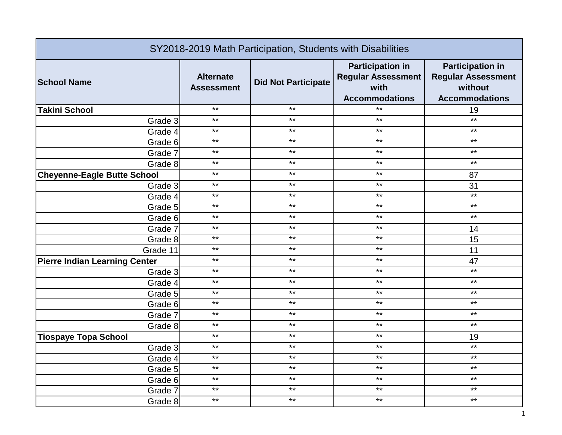| SY2018-2019 Math Participation, Students with Disabilities |                                       |                            |                                                                                       |                                                                                          |
|------------------------------------------------------------|---------------------------------------|----------------------------|---------------------------------------------------------------------------------------|------------------------------------------------------------------------------------------|
| <b>School Name</b>                                         | <b>Alternate</b><br><b>Assessment</b> | <b>Did Not Participate</b> | <b>Participation in</b><br><b>Regular Assessment</b><br>with<br><b>Accommodations</b> | <b>Participation in</b><br><b>Regular Assessment</b><br>without<br><b>Accommodations</b> |
| <b>Takini School</b>                                       | $***$                                 | $***$                      | $***$                                                                                 | 19                                                                                       |
| Grade 3                                                    | $***$                                 | $***$                      | $***$                                                                                 | $***$                                                                                    |
| Grade 4                                                    | $***$                                 | $***$                      | $***$                                                                                 | $***$                                                                                    |
| Grade 6                                                    | $***$                                 | $***$                      | $***$                                                                                 | $***$                                                                                    |
| Grade 7                                                    | $***$                                 | $***$                      | $***$                                                                                 | $***$                                                                                    |
| Grade 8                                                    | $***$                                 | $***$                      | $***$                                                                                 | $***$                                                                                    |
| <b>Cheyenne-Eagle Butte School</b>                         | $***$                                 | $***$                      | $***$                                                                                 | 87                                                                                       |
| Grade 3                                                    | $***$                                 | $***$                      | $***$                                                                                 | 31                                                                                       |
| Grade 4                                                    | $***$                                 | $***$                      | $***$                                                                                 | $***$                                                                                    |
| Grade 5                                                    | $***$                                 | $***$                      | $***$                                                                                 | $***$                                                                                    |
| Grade 6                                                    | $***$                                 | $***$                      | $***$                                                                                 | $***$                                                                                    |
| Grade 7                                                    | $***$                                 | $***$                      | $***$                                                                                 | 14                                                                                       |
| Grade 8                                                    | $***$                                 | $***$                      | $***$                                                                                 | 15                                                                                       |
| Grade 11                                                   | $***$                                 | $***$                      | $\star\star$                                                                          | 11                                                                                       |
| <b>Pierre Indian Learning Center</b>                       | $***$                                 | $***$                      | $***$                                                                                 | 47                                                                                       |
| Grade 3                                                    | $***$                                 | $***$                      | $***$                                                                                 | $***$                                                                                    |
| Grade 4                                                    | $***$                                 | $***$                      | $***$                                                                                 | $\star\star$                                                                             |
| Grade 5                                                    | $***$                                 | $***$                      | $***$                                                                                 | $***$                                                                                    |
| Grade 6                                                    | $***$                                 | $***$                      | $***$                                                                                 | $***$                                                                                    |
| Grade 7                                                    | $***$                                 | $***$                      | $***$                                                                                 | $***$                                                                                    |
| Grade 8                                                    | $***$                                 | $***$                      | $***$                                                                                 | $***$                                                                                    |
| <b>Tiospaye Topa School</b>                                | $***$                                 | $***$                      | $***$                                                                                 | 19                                                                                       |
| Grade 3                                                    | $***$                                 | $***$                      | $***$                                                                                 | $***$                                                                                    |
| Grade 4                                                    | $***$                                 | $***$                      | $***$                                                                                 | $***$                                                                                    |
| Grade 5                                                    | $***$                                 | $***$                      | $***$                                                                                 | $***$                                                                                    |
| Grade 6                                                    | $***$                                 | $***$                      | $***$                                                                                 | $\star\star$                                                                             |
| Grade 7                                                    | $***$                                 | $***$                      | $***$                                                                                 | $***$                                                                                    |
| Grade 8                                                    | $***$                                 | $***$                      | $***$                                                                                 | $***$                                                                                    |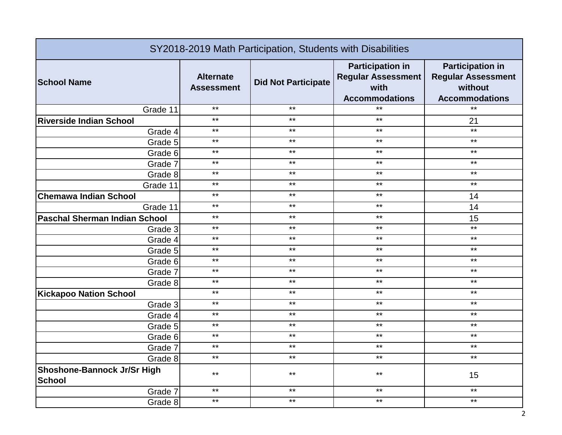| SY2018-2019 Math Participation, Students with Disabilities |                                       |                            |                                                                                       |                                                                                          |
|------------------------------------------------------------|---------------------------------------|----------------------------|---------------------------------------------------------------------------------------|------------------------------------------------------------------------------------------|
| <b>School Name</b>                                         | <b>Alternate</b><br><b>Assessment</b> | <b>Did Not Participate</b> | <b>Participation in</b><br><b>Regular Assessment</b><br>with<br><b>Accommodations</b> | <b>Participation in</b><br><b>Regular Assessment</b><br>without<br><b>Accommodations</b> |
| Grade 11                                                   | $***$                                 | $***$                      | $***$                                                                                 | $*$                                                                                      |
| <b>Riverside Indian School</b>                             | $***$                                 | $***$                      | $***$                                                                                 | 21                                                                                       |
| Grade 4                                                    | $***$                                 | $***$                      | $***$                                                                                 | $***$                                                                                    |
| Grade 5                                                    | $***$                                 | $***$                      | $***$                                                                                 | $***$                                                                                    |
| Grade 6                                                    | $***$                                 | $***$                      | $***$                                                                                 | $***$                                                                                    |
| Grade 7                                                    | $***$                                 | $***$                      | $***$                                                                                 | $***$                                                                                    |
| Grade 8                                                    | $***$                                 | $***$                      | $***$                                                                                 | $***$                                                                                    |
| Grade 11                                                   | $***$                                 | $***$                      | $***$                                                                                 | $***$                                                                                    |
| <b>Chemawa Indian School</b>                               | $***$                                 | $***$                      | $***$                                                                                 | 14                                                                                       |
| Grade 11                                                   | $***$                                 | $***$                      | $***$                                                                                 | 14                                                                                       |
| <b>Paschal Sherman Indian School</b>                       | $***$                                 | $***$                      | $***$                                                                                 | 15                                                                                       |
| Grade 3                                                    | $***$                                 | $***$                      | $***$                                                                                 | $***$                                                                                    |
| Grade 4                                                    | $***$                                 | $***$                      | $***$                                                                                 | $***$                                                                                    |
| Grade 5                                                    | $***$                                 | $***$                      | $***$                                                                                 | $***$                                                                                    |
| Grade 6                                                    | $***$                                 | $***$                      | $***$                                                                                 | $***$                                                                                    |
| Grade 7                                                    | $***$                                 | $***$                      | $***$                                                                                 | $***$                                                                                    |
| Grade 8                                                    | $***$                                 | $***$                      | $***$                                                                                 | $***$                                                                                    |
| <b>Kickapoo Nation School</b>                              | $***$                                 | $***$                      | $***$                                                                                 | $***$                                                                                    |
| Grade 3                                                    | $***$                                 | $***$                      | $***$                                                                                 | $***$                                                                                    |
| Grade 4                                                    | $***$                                 | $***$                      | $***$                                                                                 | $***$                                                                                    |
| Grade 5                                                    | $***$                                 | $***$                      | $***$                                                                                 | $***$                                                                                    |
| Grade 6                                                    | $***$                                 | $***$                      | $***$                                                                                 | $***$                                                                                    |
| Grade 7                                                    | $***$                                 | $***$                      | $***$                                                                                 | $***$                                                                                    |
| Grade 8                                                    | $***$                                 | $***$                      | $***$                                                                                 | $***$                                                                                    |
| <b>Shoshone-Bannock Jr/Sr High</b><br><b>School</b>        | $***$                                 | $***$                      | $***$                                                                                 | 15                                                                                       |
| Grade 7                                                    | $***$                                 | $***$                      | $***$                                                                                 | $***$                                                                                    |
| Grade 8                                                    | $***$                                 | $***$                      | $***$                                                                                 | $***$                                                                                    |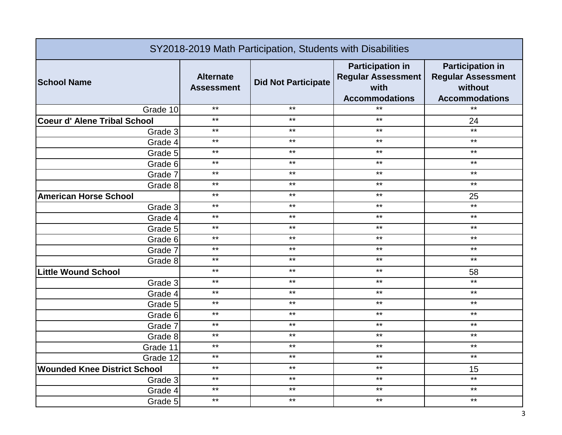| SY2018-2019 Math Participation, Students with Disabilities |                                       |                            |                                                                                       |                                                                                          |
|------------------------------------------------------------|---------------------------------------|----------------------------|---------------------------------------------------------------------------------------|------------------------------------------------------------------------------------------|
| <b>School Name</b>                                         | <b>Alternate</b><br><b>Assessment</b> | <b>Did Not Participate</b> | <b>Participation in</b><br><b>Regular Assessment</b><br>with<br><b>Accommodations</b> | <b>Participation in</b><br><b>Regular Assessment</b><br>without<br><b>Accommodations</b> |
| Grade 10                                                   | $***$                                 | $***$                      | $***$                                                                                 | $*$                                                                                      |
| <b>Coeur d' Alene Tribal School</b>                        | $***$                                 | $***$                      | $***$                                                                                 | 24                                                                                       |
| Grade 3                                                    | $***$                                 | $***$                      | $\star\star$                                                                          | $***$                                                                                    |
| Grade 4                                                    | $***$                                 | $***$                      | $***$                                                                                 | $***$                                                                                    |
| Grade 5                                                    | $***$                                 | $***$                      | $***$                                                                                 | $***$                                                                                    |
| Grade 6                                                    | $***$                                 | $***$                      | $***$                                                                                 | $***$                                                                                    |
| Grade 7                                                    | $***$                                 | $***$                      | $***$                                                                                 | $***$                                                                                    |
| Grade 8                                                    | $***$                                 | $***$                      | $***$                                                                                 | $***$                                                                                    |
| <b>American Horse School</b>                               | $***$                                 | $\star\star$               | $\star\star$                                                                          | 25                                                                                       |
| Grade 3                                                    | $***$                                 | $***$                      | $***$                                                                                 | $***$                                                                                    |
| Grade 4                                                    | $***$                                 | $***$                      | $***$                                                                                 | $***$                                                                                    |
| Grade 5                                                    | $***$                                 | $***$                      | $***$                                                                                 | $***$                                                                                    |
| Grade 6                                                    | $***$                                 | $***$                      | $***$                                                                                 | $***$                                                                                    |
| Grade 7                                                    | $***$                                 | $***$                      | $***$                                                                                 | $***$                                                                                    |
| Grade 8                                                    | $***$                                 | $***$                      | $***$                                                                                 | $***$                                                                                    |
| <b>Little Wound School</b>                                 | $***$                                 | $***$                      | $***$                                                                                 | 58                                                                                       |
| Grade 3                                                    | $***$                                 | $***$                      | $***$                                                                                 | $***$                                                                                    |
| Grade 4                                                    | $***$                                 | $***$                      | $***$                                                                                 | $***$                                                                                    |
| Grade 5                                                    | $***$                                 | $***$                      | $***$                                                                                 | $***$                                                                                    |
| Grade 6                                                    | $\star\star$                          | $\star\star$               | $***$                                                                                 | $***$                                                                                    |
| Grade 7                                                    | $***$                                 | $***$                      | $***$                                                                                 | $***$                                                                                    |
| Grade 8                                                    | $***$                                 | $***$                      | $***$                                                                                 | $***$                                                                                    |
| Grade 11                                                   | $***$                                 | $***$                      | $***$                                                                                 | $***$                                                                                    |
| Grade 12                                                   | $***$                                 | $***$                      | $***$                                                                                 | $***$                                                                                    |
| <b>Wounded Knee District School</b>                        | $***$                                 | $***$                      | $***$                                                                                 | 15                                                                                       |
| Grade 3                                                    | $***$                                 | $***$                      | $***$                                                                                 | $***$                                                                                    |
| Grade 4                                                    | $***$                                 | $***$                      | $***$                                                                                 | $***$                                                                                    |
| Grade 5                                                    | $***$                                 | $***$                      | $***$                                                                                 | $***$                                                                                    |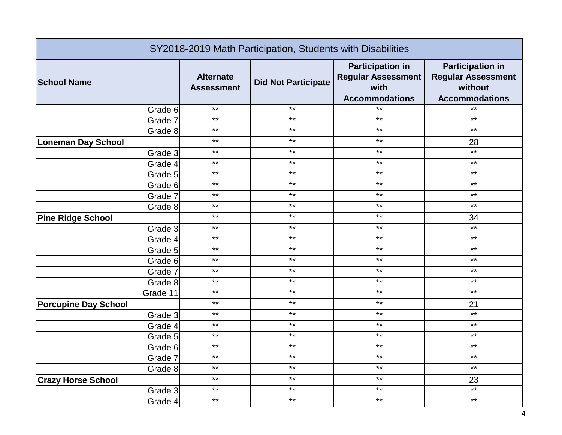| SY2018-2019 Math Participation, Students with Disabilities |                                       |                            |                                                                                       |                                                                                          |
|------------------------------------------------------------|---------------------------------------|----------------------------|---------------------------------------------------------------------------------------|------------------------------------------------------------------------------------------|
| <b>School Name</b>                                         | <b>Alternate</b><br><b>Assessment</b> | <b>Did Not Participate</b> | <b>Participation in</b><br><b>Regular Assessment</b><br>with<br><b>Accommodations</b> | <b>Participation in</b><br><b>Regular Assessment</b><br>without<br><b>Accommodations</b> |
| Grade 6                                                    | $***$                                 | $***$                      | $***$                                                                                 | $*$                                                                                      |
| Grade 7                                                    | $***$                                 | $***$                      | $***$                                                                                 | $***$                                                                                    |
| Grade 8                                                    | $***$                                 | $***$                      | $***$                                                                                 | $***$                                                                                    |
| <b>Loneman Day School</b>                                  | $***$                                 | $***$                      | $***$                                                                                 | 28                                                                                       |
| Grade 3                                                    | $***$                                 | $***$                      | $***$                                                                                 | $*$                                                                                      |
| Grade 4                                                    | $***$                                 | $***$                      | $***$                                                                                 | $***$                                                                                    |
| Grade 5                                                    | $***$                                 | $***$                      | $***$                                                                                 | $***$                                                                                    |
| Grade 6                                                    | $***$                                 | $***$                      | $***$                                                                                 | $***$                                                                                    |
| Grade 7                                                    | $***$                                 | $***$                      | $***$                                                                                 | $***$                                                                                    |
| Grade 8                                                    | $***$                                 | $***$                      | $***$                                                                                 | $***$                                                                                    |
| <b>Pine Ridge School</b>                                   | $***$                                 | $***$                      | $***$                                                                                 | 34                                                                                       |
| Grade 3                                                    | $***$                                 | $***$                      | $***$                                                                                 | $***$                                                                                    |
| Grade 4                                                    | $***$                                 | $***$                      | $***$                                                                                 | $***$                                                                                    |
| Grade 5                                                    | $***$                                 | $***$                      | $***$                                                                                 | $***$                                                                                    |
| Grade 6                                                    | $***$                                 | $***$                      | $***$                                                                                 | $***$                                                                                    |
| Grade 7                                                    | $***$                                 | $***$                      | $***$                                                                                 | $***$                                                                                    |
| Grade 8                                                    | $***$                                 | $***$                      | $***$                                                                                 | $***$                                                                                    |
| Grade 11                                                   | $***$                                 | $***$                      | $***$                                                                                 | $***$                                                                                    |
| <b>Porcupine Day School</b>                                | $***$                                 | $***$                      | $***$                                                                                 | 21                                                                                       |
| Grade 3                                                    | $***$                                 | $***$                      | $***$                                                                                 | $***$                                                                                    |
| Grade 4                                                    | $***$                                 | $***$                      | $***$                                                                                 | $***$                                                                                    |
| Grade 5                                                    | $***$                                 | $***$                      | $***$                                                                                 | $***$                                                                                    |
| Grade 6                                                    | $***$                                 | $***$                      | $***$                                                                                 | $***$                                                                                    |
| Grade 7                                                    | $***$                                 | $***$                      | $***$                                                                                 | $***$                                                                                    |
| Grade 8                                                    | $***$                                 | $***$                      | $***$                                                                                 | $***$                                                                                    |
| <b>Crazy Horse School</b>                                  | $***$                                 | $***$                      | $***$                                                                                 | 23                                                                                       |
| Grade 3                                                    | $***$                                 | $***$                      | $***$                                                                                 | $***$                                                                                    |
| Grade 4                                                    | $***$                                 | $***$                      | $***$                                                                                 | $***$                                                                                    |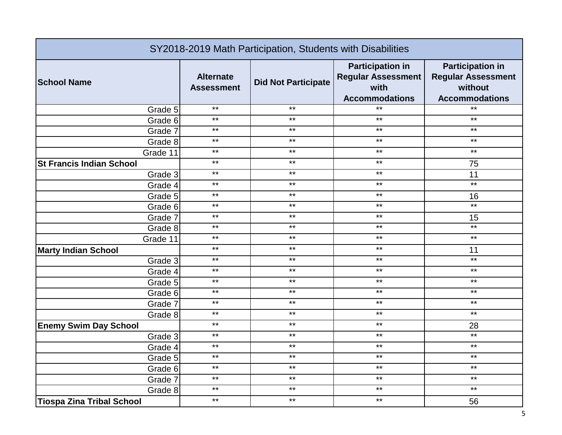| SY2018-2019 Math Participation, Students with Disabilities |                                       |                            |                                                                                       |                                                                                          |
|------------------------------------------------------------|---------------------------------------|----------------------------|---------------------------------------------------------------------------------------|------------------------------------------------------------------------------------------|
| <b>School Name</b>                                         | <b>Alternate</b><br><b>Assessment</b> | <b>Did Not Participate</b> | <b>Participation in</b><br><b>Regular Assessment</b><br>with<br><b>Accommodations</b> | <b>Participation in</b><br><b>Regular Assessment</b><br>without<br><b>Accommodations</b> |
| Grade 5                                                    | $***$                                 | $***$                      | $***$                                                                                 | $***$                                                                                    |
| Grade 6                                                    | $***$                                 | $***$                      | $\star\star$                                                                          | $***$                                                                                    |
| Grade 7                                                    | $***$                                 | $***$                      | $***$                                                                                 | $***$                                                                                    |
| Grade 8                                                    | $***$                                 | $***$                      | $***$                                                                                 | $\star\star$                                                                             |
| Grade 11                                                   | $***$                                 | $***$                      | $***$                                                                                 | $***$                                                                                    |
| <b>St Francis Indian School</b>                            | $***$                                 | $***$                      | $***$                                                                                 | 75                                                                                       |
| Grade 3                                                    | $***$                                 | $***$                      | $***$                                                                                 | 11                                                                                       |
| Grade 4                                                    | $***$                                 | $***$                      | $***$                                                                                 | $***$                                                                                    |
| Grade 5                                                    | $***$                                 | $***$                      | $***$                                                                                 | 16                                                                                       |
| Grade 6                                                    | $***$                                 | $***$                      | $***$                                                                                 | $***$                                                                                    |
| Grade 7                                                    | $***$                                 | $***$                      | $***$                                                                                 | 15                                                                                       |
| Grade 8                                                    | $***$                                 | $***$                      | $***$                                                                                 | $***$                                                                                    |
| Grade 11                                                   | $***$                                 | $***$                      | $***$                                                                                 | $***$                                                                                    |
| <b>Marty Indian School</b>                                 | $***$                                 | $***$                      | $\star\star$                                                                          | 11                                                                                       |
| Grade 3                                                    | $***$                                 | $***$                      | $***$                                                                                 | $***$                                                                                    |
| Grade 4                                                    | $***$                                 | $***$                      | $***$                                                                                 | $***$                                                                                    |
| Grade 5                                                    | $***$                                 | $***$                      | $***$                                                                                 | $***$                                                                                    |
| Grade 6                                                    | $***$                                 | $***$                      | $***$                                                                                 | $***$                                                                                    |
| Grade 7                                                    | $***$                                 | $***$                      | $***$                                                                                 | $***$                                                                                    |
| Grade 8                                                    | $***$                                 | $***$                      | $***$                                                                                 | $***$                                                                                    |
| <b>Enemy Swim Day School</b>                               | $***$                                 | $***$                      | $***$                                                                                 | 28                                                                                       |
| Grade 3                                                    | $***$                                 | $***$                      | $***$                                                                                 | $***$                                                                                    |
| Grade 4                                                    | $***$                                 | $***$                      | $***$                                                                                 | $***$                                                                                    |
| Grade 5                                                    | $***$                                 | $***$                      | $***$                                                                                 | $***$                                                                                    |
| Grade 6                                                    | $***$                                 | $***$                      | $***$                                                                                 | $***$                                                                                    |
| Grade 7                                                    | $***$                                 | $***$                      | $***$                                                                                 | $***$                                                                                    |
| Grade 8                                                    | $***$                                 | $***$                      | $***$                                                                                 | $***$                                                                                    |
| <b>Tiospa Zina Tribal School</b>                           | $***$                                 | $***$                      | $***$                                                                                 | 56                                                                                       |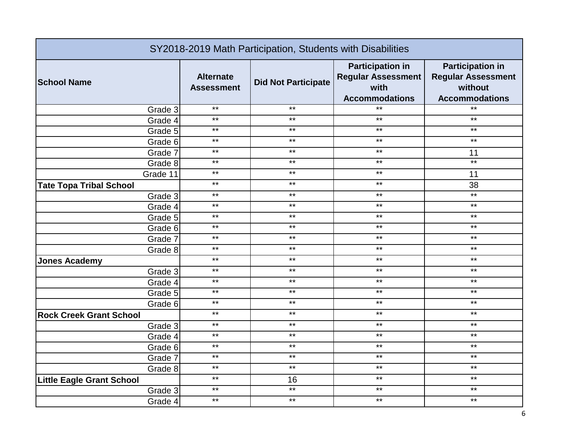| SY2018-2019 Math Participation, Students with Disabilities |                                       |                            |                                                                                       |                                                                                          |
|------------------------------------------------------------|---------------------------------------|----------------------------|---------------------------------------------------------------------------------------|------------------------------------------------------------------------------------------|
| <b>School Name</b>                                         | <b>Alternate</b><br><b>Assessment</b> | <b>Did Not Participate</b> | <b>Participation in</b><br><b>Regular Assessment</b><br>with<br><b>Accommodations</b> | <b>Participation in</b><br><b>Regular Assessment</b><br>without<br><b>Accommodations</b> |
| Grade 3                                                    | $***$                                 | $***$                      | $***$                                                                                 | $***$                                                                                    |
| Grade 4                                                    | $***$                                 | $***$                      | $***$                                                                                 | $***$                                                                                    |
| Grade 5                                                    | $***$                                 | $***$                      | $***$                                                                                 | $***$                                                                                    |
| Grade 6                                                    | $***$                                 | $***$                      | $***$                                                                                 | $***$                                                                                    |
| Grade 7                                                    | $***$                                 | $***$                      | $***$                                                                                 | 11                                                                                       |
| Grade 8                                                    | $***$                                 | $***$                      | $***$                                                                                 | $***$                                                                                    |
| Grade 11                                                   | $***$                                 | $***$                      | $***$                                                                                 | 11                                                                                       |
| <b>Tate Topa Tribal School</b>                             | $***$                                 | $***$                      | $***$                                                                                 | 38                                                                                       |
| Grade 3                                                    | $***$                                 | $***$                      | $***$                                                                                 | $***$                                                                                    |
| Grade 4                                                    | $***$                                 | $***$                      | $***$                                                                                 | $***$                                                                                    |
| Grade 5                                                    | $***$                                 | $***$                      | $***$                                                                                 | $***$                                                                                    |
| Grade 6                                                    | $***$                                 | $***$                      | $***$                                                                                 | $***$                                                                                    |
| Grade 7                                                    | $***$                                 | $***$                      | $***$                                                                                 | $***$                                                                                    |
| Grade 8                                                    | $***$                                 | $***$                      | $***$                                                                                 | $***$                                                                                    |
| <b>Jones Academy</b>                                       | $***$                                 | $***$                      | $***$                                                                                 | $***$                                                                                    |
| Grade 3                                                    | $***$                                 | $***$                      | $***$                                                                                 | $***$                                                                                    |
| Grade 4                                                    | $***$                                 | $***$                      | $***$                                                                                 | $***$                                                                                    |
| Grade 5                                                    | $***$                                 | $***$                      | $***$                                                                                 | $\star\star$                                                                             |
| Grade 6                                                    | $***$                                 | $***$                      | $***$                                                                                 | $***$                                                                                    |
| <b>Rock Creek Grant School</b>                             | $***$                                 | $***$                      | $***$                                                                                 | $***$                                                                                    |
| Grade 3                                                    | $***$                                 | $***$                      | $***$                                                                                 | $\star\star$                                                                             |
| Grade 4                                                    | $***$                                 | $***$                      | $***$                                                                                 | $***$                                                                                    |
| Grade 6                                                    | $***$                                 | $***$                      | $***$                                                                                 | $***$                                                                                    |
| Grade 7                                                    | $***$                                 | $***$                      | $***$                                                                                 | $***$                                                                                    |
| Grade 8                                                    | $***$                                 | $***$                      | $***$                                                                                 | $***$                                                                                    |
| <b>Little Eagle Grant School</b>                           | $***$                                 | 16                         | $***$                                                                                 | $***$                                                                                    |
| Grade 3                                                    | $***$                                 | $***$                      | $***$                                                                                 | $***$                                                                                    |
| Grade 4                                                    | $***$                                 | $***$                      | $***$                                                                                 | $***$                                                                                    |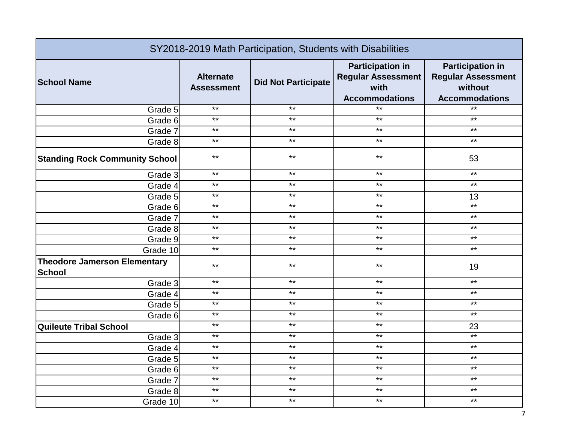| SY2018-2019 Math Participation, Students with Disabilities |                                       |                            |                                                                                       |                                                                                          |
|------------------------------------------------------------|---------------------------------------|----------------------------|---------------------------------------------------------------------------------------|------------------------------------------------------------------------------------------|
| <b>School Name</b>                                         | <b>Alternate</b><br><b>Assessment</b> | <b>Did Not Participate</b> | <b>Participation in</b><br><b>Regular Assessment</b><br>with<br><b>Accommodations</b> | <b>Participation in</b><br><b>Regular Assessment</b><br>without<br><b>Accommodations</b> |
| Grade 5                                                    | $***$                                 | $***$                      | $***$                                                                                 | $*$                                                                                      |
| Grade 6                                                    | $***$                                 | $***$                      | $***$                                                                                 | $***$                                                                                    |
| Grade 7                                                    | $***$                                 | $***$                      | $***$                                                                                 | $***$                                                                                    |
| Grade 8                                                    | $***$                                 | $***$                      | $***$                                                                                 | $***$                                                                                    |
| <b>Standing Rock Community School</b>                      | $***$                                 | $***$                      | $***$                                                                                 | 53                                                                                       |
| Grade 3                                                    | $***$                                 | $***$                      | $***$                                                                                 | $***$                                                                                    |
| Grade 4                                                    | $***$                                 | $***$                      | $***$                                                                                 | $***$                                                                                    |
| Grade 5                                                    | $***$                                 | $***$                      | $***$                                                                                 | 13                                                                                       |
| Grade 6                                                    | $***$                                 | $***$                      | $***$                                                                                 | $***$                                                                                    |
| Grade 7                                                    | $***$                                 | $***$                      | $***$                                                                                 | $***$                                                                                    |
| Grade 8                                                    | $***$                                 | $***$                      | $***$                                                                                 | $***$                                                                                    |
| Grade 9                                                    | $***$                                 | $***$                      | $\star\star$                                                                          | $***$                                                                                    |
| Grade 10                                                   | $***$                                 | $***$                      | $***$                                                                                 | $***$                                                                                    |
| <b>Theodore Jamerson Elementary</b><br><b>School</b>       | $***$                                 | $***$                      | $***$                                                                                 | 19                                                                                       |
| Grade 3                                                    | $***$                                 | $***$                      | $***$                                                                                 | $\star\star$                                                                             |
| Grade 4                                                    | $***$                                 | $***$                      | $***$                                                                                 | $***$                                                                                    |
| Grade 5                                                    | $***$                                 | $***$                      | $***$                                                                                 | $***$                                                                                    |
| Grade 6                                                    | $***$                                 | $***$                      | $***$                                                                                 | $***$                                                                                    |
| <b>Quileute Tribal School</b>                              | $***$                                 | $***$                      | $***$                                                                                 | 23                                                                                       |
| Grade 3                                                    | $***$                                 | $***$                      | $***$                                                                                 | $***$                                                                                    |
| Grade 4                                                    | $***$                                 | $***$                      | $\star\star$                                                                          | $***$                                                                                    |
| Grade 5                                                    | $***$                                 | $***$                      | $***$                                                                                 | $***$                                                                                    |
| Grade 6                                                    | $***$                                 | $***$                      | $\star\star$                                                                          | $***$                                                                                    |
| Grade 7                                                    | $***$                                 | $***$                      | $***$                                                                                 | $***$                                                                                    |
| Grade 8                                                    | $***$                                 | $***$                      | $***$                                                                                 | $***$                                                                                    |
| Grade 10                                                   | $***$                                 | $***$                      | $***$                                                                                 | $***$                                                                                    |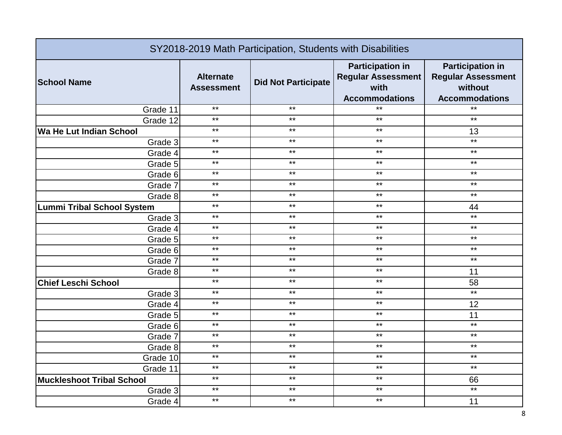| SY2018-2019 Math Participation, Students with Disabilities |                                       |                            |                                                                                       |                                                                                          |
|------------------------------------------------------------|---------------------------------------|----------------------------|---------------------------------------------------------------------------------------|------------------------------------------------------------------------------------------|
| <b>School Name</b>                                         | <b>Alternate</b><br><b>Assessment</b> | <b>Did Not Participate</b> | <b>Participation in</b><br><b>Regular Assessment</b><br>with<br><b>Accommodations</b> | <b>Participation in</b><br><b>Regular Assessment</b><br>without<br><b>Accommodations</b> |
| Grade 11                                                   | $***$                                 | $***$                      | $***$                                                                                 | $***$                                                                                    |
| Grade 12                                                   | $***$                                 | $***$                      | $***$                                                                                 | $***$                                                                                    |
| Wa He Lut Indian School                                    | $***$                                 | $***$                      | $***$                                                                                 | 13                                                                                       |
| Grade 3                                                    | $***$                                 | $***$                      | $***$                                                                                 | $***$                                                                                    |
| Grade 4                                                    | $***$                                 | $***$                      | $***$                                                                                 | $***$                                                                                    |
| Grade 5                                                    | $***$                                 | $***$                      | $***$                                                                                 | $***$                                                                                    |
| Grade 6                                                    | $***$                                 | $***$                      | $***$                                                                                 | $***$                                                                                    |
| Grade 7                                                    | $***$                                 | $***$                      | $***$                                                                                 | $***$                                                                                    |
| Grade 8                                                    | $***$                                 | $***$                      | $***$                                                                                 | $***$                                                                                    |
| <b>Lummi Tribal School System</b>                          | $***$                                 | $***$                      | $***$                                                                                 | 44                                                                                       |
| Grade 3                                                    | $***$                                 | $***$                      | $***$                                                                                 | $***$                                                                                    |
| Grade 4                                                    | $***$                                 | $***$                      | $***$                                                                                 | $***$                                                                                    |
| Grade 5                                                    | $***$                                 | $***$                      | $***$                                                                                 | $***$                                                                                    |
| Grade 6                                                    | $***$                                 | $***$                      | $***$                                                                                 | $***$                                                                                    |
| Grade 7                                                    | $***$                                 | $***$                      | $***$                                                                                 | $***$                                                                                    |
| Grade 8                                                    | $***$                                 | $***$                      | $***$                                                                                 | 11                                                                                       |
| <b>Chief Leschi School</b>                                 | $***$                                 | $***$                      | $***$                                                                                 | 58                                                                                       |
| Grade 3                                                    | $***$                                 | $***$                      | $***$                                                                                 | $***$                                                                                    |
| Grade 4                                                    | $***$                                 | $***$                      | $***$                                                                                 | 12                                                                                       |
| Grade 5                                                    | $***$                                 | $***$                      | $***$                                                                                 | 11                                                                                       |
| Grade 6                                                    | $***$                                 | $***$                      | $***$                                                                                 | $***$                                                                                    |
| Grade 7                                                    | $***$                                 | $***$                      | $***$                                                                                 | $***$                                                                                    |
| Grade 8                                                    | $***$                                 | $***$                      | $***$                                                                                 | $***$                                                                                    |
| Grade 10                                                   | $***$                                 | $***$                      | $***$                                                                                 | $***$                                                                                    |
| Grade 11                                                   | $***$                                 | $***$                      | $***$                                                                                 | $***$                                                                                    |
| <b>Muckleshoot Tribal School</b>                           | $***$                                 | $***$                      | $***$                                                                                 | 66                                                                                       |
| Grade 3                                                    | $***$                                 | $***$                      | $***$                                                                                 | $***$                                                                                    |
| Grade 4                                                    | $***$                                 | $***$                      | $***$                                                                                 | 11                                                                                       |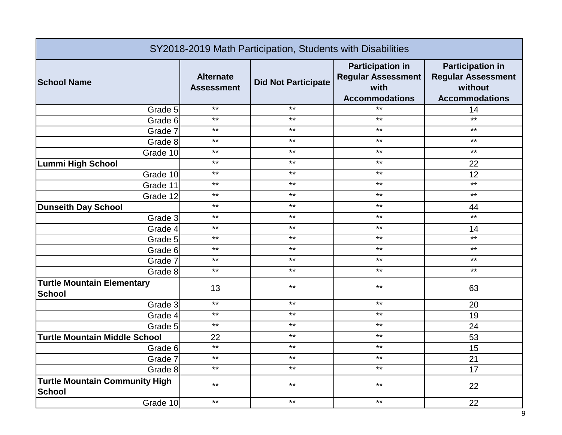| SY2018-2019 Math Participation, Students with Disabilities |                                       |                            |                                                                                       |                                                                                          |
|------------------------------------------------------------|---------------------------------------|----------------------------|---------------------------------------------------------------------------------------|------------------------------------------------------------------------------------------|
| <b>School Name</b>                                         | <b>Alternate</b><br><b>Assessment</b> | <b>Did Not Participate</b> | <b>Participation in</b><br><b>Regular Assessment</b><br>with<br><b>Accommodations</b> | <b>Participation in</b><br><b>Regular Assessment</b><br>without<br><b>Accommodations</b> |
| Grade 5                                                    | $***$                                 | $***$                      | $***$                                                                                 | 14                                                                                       |
| Grade 6                                                    | $***$                                 | $***$                      | $***$                                                                                 | $***$                                                                                    |
| Grade 7                                                    | $***$                                 | $***$                      | $***$                                                                                 | $***$                                                                                    |
| Grade 8                                                    | $***$                                 | $***$                      | $***$                                                                                 | $***$                                                                                    |
| Grade 10                                                   | $***$                                 | $***$                      | $***$                                                                                 | $***$                                                                                    |
| <b>Lummi High School</b>                                   | $***$                                 | $***$                      | $***$                                                                                 | 22                                                                                       |
| Grade 10                                                   | $***$                                 | $***$                      | $***$                                                                                 | 12                                                                                       |
| Grade 11                                                   | $***$                                 | $***$                      | $***$                                                                                 | $***$                                                                                    |
| Grade 12                                                   | $***$                                 | $***$                      | $***$                                                                                 | $***$                                                                                    |
| <b>Dunseith Day School</b>                                 | $***$                                 | $***$                      | $***$                                                                                 | 44                                                                                       |
| Grade 3                                                    | $***$                                 | $***$                      | $***$                                                                                 | $*$                                                                                      |
| Grade 4                                                    | $***$                                 | $***$                      | $***$                                                                                 | 14                                                                                       |
| Grade 5                                                    | $***$                                 | $***$                      | $***$                                                                                 | $***$                                                                                    |
| Grade 6                                                    | $***$                                 | $***$                      | $***$                                                                                 | $***$                                                                                    |
| Grade 7                                                    | $***$                                 | $***$                      | $***$                                                                                 | $***$                                                                                    |
| Grade 8                                                    | $***$                                 | $***$                      | $***$                                                                                 | $***$                                                                                    |
| <b>Turtle Mountain Elementary</b><br><b>School</b>         | 13                                    | $***$                      | $***$                                                                                 | 63                                                                                       |
| Grade 3                                                    | $***$                                 | $***$                      | $***$                                                                                 | 20                                                                                       |
| Grade 4                                                    | $***$                                 | $***$                      | $\star\star$                                                                          | 19                                                                                       |
| Grade 5                                                    | $***$                                 | $***$                      | $***$                                                                                 | 24                                                                                       |
| <b>Turtle Mountain Middle School</b>                       | 22                                    | $***$                      | $***$                                                                                 | 53                                                                                       |
| Grade 6                                                    | $\overline{\ddot{\ast}}$              | $***$                      | $***$                                                                                 | 15                                                                                       |
| Grade 7                                                    | $***$                                 | $***$                      | $***$                                                                                 | 21                                                                                       |
| Grade 8                                                    | $***$                                 | $***$                      | $***$                                                                                 | 17                                                                                       |
| <b>Turtle Mountain Community High</b><br>School            | $***$<br>$***$                        | $***$<br>$***$             | $***$<br>$***$                                                                        | 22                                                                                       |
| Grade 10                                                   |                                       |                            |                                                                                       | 22                                                                                       |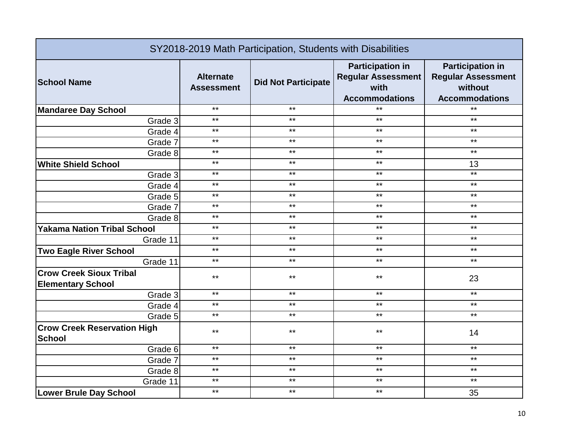| SY2018-2019 Math Participation, Students with Disabilities |                                       |                            |                                                                                       |                                                                                          |
|------------------------------------------------------------|---------------------------------------|----------------------------|---------------------------------------------------------------------------------------|------------------------------------------------------------------------------------------|
| <b>School Name</b>                                         | <b>Alternate</b><br><b>Assessment</b> | <b>Did Not Participate</b> | <b>Participation in</b><br><b>Regular Assessment</b><br>with<br><b>Accommodations</b> | <b>Participation in</b><br><b>Regular Assessment</b><br>without<br><b>Accommodations</b> |
| <b>Mandaree Day School</b>                                 | $***$                                 | $***$                      | $***$                                                                                 | $***$                                                                                    |
| Grade 3                                                    | $***$                                 | $***$                      | $***$                                                                                 | $***$                                                                                    |
| Grade 4                                                    | $***$                                 | $***$                      | $***$                                                                                 | $***$                                                                                    |
| Grade 7                                                    | $***$                                 | $***$                      | $***$                                                                                 | $***$                                                                                    |
| Grade 8                                                    | $***$                                 | $***$                      | $***$                                                                                 | $***$                                                                                    |
| <b>White Shield School</b>                                 | $***$                                 | $***$                      | $***$                                                                                 | 13                                                                                       |
| Grade 3                                                    | $***$                                 | $***$                      | $***$                                                                                 | $***$                                                                                    |
| Grade 4                                                    | $***$                                 | $***$                      | $***$                                                                                 | $***$                                                                                    |
| Grade 5                                                    | $***$                                 | $***$                      | $***$                                                                                 | $***$                                                                                    |
| Grade 7                                                    | $***$                                 | $***$                      | $***$                                                                                 | $***$                                                                                    |
| Grade 8                                                    | $***$                                 | $***$                      | $***$                                                                                 | $***$                                                                                    |
| <b>Yakama Nation Tribal School</b>                         | $***$                                 | $***$                      | $***$                                                                                 | $***$                                                                                    |
| Grade 11                                                   | $***$                                 | $***$                      | $***$                                                                                 | $***$                                                                                    |
| <b>Two Eagle River School</b>                              | $***$                                 | $***$                      | $***$                                                                                 | $***$                                                                                    |
| Grade 11                                                   | $***$                                 | $***$                      | $***$                                                                                 | $***$                                                                                    |
| <b>Crow Creek Sioux Tribal</b><br><b>Elementary School</b> | $***$                                 | $***$                      | $***$                                                                                 | 23                                                                                       |
| Grade 3                                                    | $***$                                 | $***$                      | $***$                                                                                 | $***$                                                                                    |
| Grade 4                                                    | $***$                                 | $***$                      | $***$                                                                                 | $***$                                                                                    |
| Grade 5                                                    | $***$                                 | $***$                      | $***$                                                                                 | $***$                                                                                    |
| <b>Crow Creek Reservation High</b><br><b>School</b>        | $***$                                 | $***$                      | $***$                                                                                 | 14                                                                                       |
| Grade 6                                                    | $***$                                 | $***$                      | $***$                                                                                 | $***$                                                                                    |
| Grade 7                                                    | $***$                                 | $***$                      | $***$                                                                                 | $***$                                                                                    |
| Grade 8                                                    | $***$                                 | $***$                      | $***$                                                                                 | $***$                                                                                    |
| Grade 11                                                   | $***$                                 | $***$                      | $***$                                                                                 | $***$                                                                                    |
| <b>Lower Brule Day School</b>                              | $***$                                 | $***$                      | $***$                                                                                 | 35                                                                                       |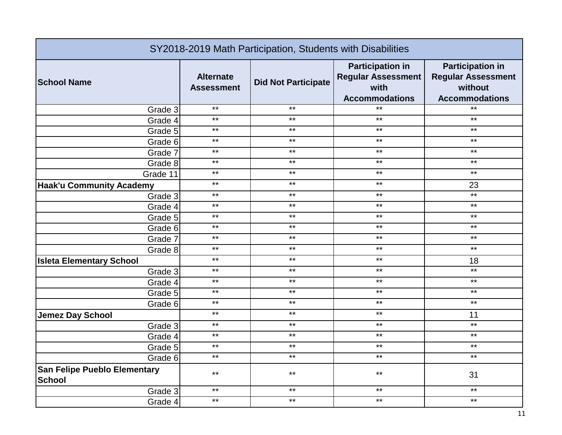| SY2018-2019 Math Participation, Students with Disabilities |                                       |                            |                                                                                       |                                                                                          |
|------------------------------------------------------------|---------------------------------------|----------------------------|---------------------------------------------------------------------------------------|------------------------------------------------------------------------------------------|
| <b>School Name</b>                                         | <b>Alternate</b><br><b>Assessment</b> | <b>Did Not Participate</b> | <b>Participation in</b><br><b>Regular Assessment</b><br>with<br><b>Accommodations</b> | <b>Participation in</b><br><b>Regular Assessment</b><br>without<br><b>Accommodations</b> |
| Grade 3                                                    | $***$                                 | $***$                      | $***$                                                                                 | $*$                                                                                      |
| Grade 4                                                    | $***$                                 | $***$                      | $***$                                                                                 | $***$                                                                                    |
| Grade 5                                                    | $***$                                 | $***$                      | $***$                                                                                 | $***$                                                                                    |
| Grade 6                                                    | $***$                                 | $***$                      | $***$                                                                                 | $***$                                                                                    |
| Grade 7                                                    | $***$                                 | $***$                      | $***$                                                                                 | $***$                                                                                    |
| Grade 8                                                    | $***$                                 | $***$                      | $***$                                                                                 | $***$                                                                                    |
| Grade 11                                                   | $***$                                 | $***$                      | $***$                                                                                 | $\star\star$                                                                             |
| <b>Haak'u Community Academy</b>                            | $***$                                 | $***$                      | $***$                                                                                 | 23                                                                                       |
| Grade 3                                                    | $***$                                 | $***$                      | $***$                                                                                 | $***$                                                                                    |
| Grade 4                                                    | $***$                                 | $***$                      | $***$                                                                                 | $***$                                                                                    |
| Grade 5                                                    | $***$                                 | $***$                      | $***$                                                                                 | $***$                                                                                    |
| Grade 6                                                    | $***$                                 | $***$                      | $***$                                                                                 | $***$                                                                                    |
| Grade 7                                                    | $***$                                 | $***$                      | $***$                                                                                 | $***$                                                                                    |
| Grade 8                                                    | $***$                                 | $***$                      | $***$                                                                                 | $***$                                                                                    |
| <b>Isleta Elementary School</b>                            | $***$                                 | $***$                      | $***$                                                                                 | 18                                                                                       |
| Grade 3                                                    | $***$                                 | $***$                      | $***$                                                                                 | $***$                                                                                    |
| Grade 4                                                    | $***$                                 | $***$                      | $***$                                                                                 | $***$                                                                                    |
| Grade 5                                                    | $***$                                 | $***$                      | $***$                                                                                 | $***$                                                                                    |
| Grade 6                                                    | $***$                                 | $***$                      | $***$                                                                                 | $***$                                                                                    |
| <b>Jemez Day School</b>                                    | $***$                                 | $***$                      | $***$                                                                                 | 11                                                                                       |
| Grade 3                                                    | $***$                                 | $***$                      | $***$                                                                                 | $***$                                                                                    |
| Grade 4                                                    | $***$                                 | $***$                      | $***$                                                                                 | $***$                                                                                    |
| Grade 5                                                    | $***$                                 | $***$                      | $***$                                                                                 | $***$                                                                                    |
| Grade 6                                                    | $***$                                 | $***$                      | $***$                                                                                 | $***$                                                                                    |
| <b>San Felipe Pueblo Elementary</b><br><b>School</b>       | $***$                                 | $***$                      | $***$                                                                                 | 31                                                                                       |
| Grade 3                                                    | $***$                                 | $***$                      | $***$                                                                                 | $***$                                                                                    |
| Grade 4                                                    | $***$                                 | $***$                      | $***$                                                                                 | $***$                                                                                    |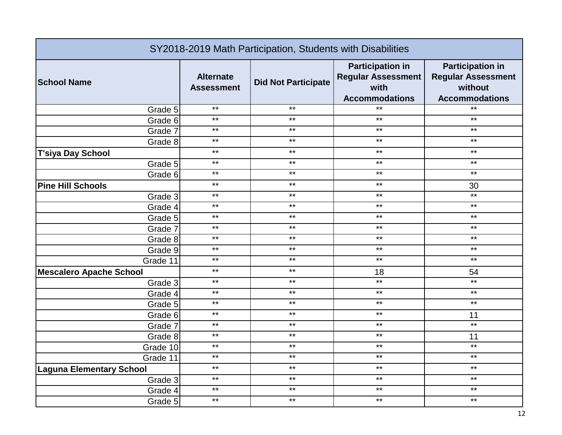| SY2018-2019 Math Participation, Students with Disabilities |                                       |                            |                                                                                       |                                                                                          |
|------------------------------------------------------------|---------------------------------------|----------------------------|---------------------------------------------------------------------------------------|------------------------------------------------------------------------------------------|
| <b>School Name</b>                                         | <b>Alternate</b><br><b>Assessment</b> | <b>Did Not Participate</b> | <b>Participation in</b><br><b>Regular Assessment</b><br>with<br><b>Accommodations</b> | <b>Participation in</b><br><b>Regular Assessment</b><br>without<br><b>Accommodations</b> |
| Grade 5                                                    | $***$                                 | $***$                      | $***$                                                                                 | $*$                                                                                      |
| Grade 6                                                    | $***$                                 | $***$                      | $***$                                                                                 | $***$                                                                                    |
| Grade 7                                                    | $***$                                 | $***$                      | $***$                                                                                 | $***$                                                                                    |
| Grade 8                                                    | $***$                                 | $***$                      | $***$                                                                                 | $***$                                                                                    |
| <b>T'siya Day School</b>                                   | $***$                                 | $***$                      | $***$                                                                                 | $***$                                                                                    |
| Grade 5                                                    | $***$                                 | $***$                      | $***$                                                                                 | $***$                                                                                    |
| Grade 6                                                    | $***$                                 | $***$                      | $***$                                                                                 | $***$                                                                                    |
| <b>Pine Hill Schools</b>                                   | $***$                                 | $***$                      | $***$                                                                                 | 30                                                                                       |
| Grade 3                                                    | $***$                                 | $***$                      | $***$                                                                                 | $\star\star$                                                                             |
| Grade 4                                                    | $***$                                 | $***$                      | $***$                                                                                 | $***$                                                                                    |
| Grade 5                                                    | $***$                                 | $***$                      | $***$                                                                                 | $***$                                                                                    |
| Grade 7                                                    | $***$                                 | $***$                      | $***$                                                                                 | $***$                                                                                    |
| Grade 8                                                    | $***$                                 | $***$                      | $***$                                                                                 | $***$                                                                                    |
| Grade 9                                                    | $***$                                 | $***$                      | $***$                                                                                 | $***$                                                                                    |
| Grade 11                                                   | $***$                                 | $***$                      | $***$                                                                                 | $***$                                                                                    |
| <b>Mescalero Apache School</b>                             | $***$                                 | $***$                      | 18                                                                                    | 54                                                                                       |
| Grade 3                                                    | $***$                                 | $***$                      | $***$                                                                                 | $***$                                                                                    |
| Grade 4                                                    | $***$                                 | $***$                      | $***$                                                                                 | $***$                                                                                    |
| Grade 5                                                    | $***$                                 | $***$                      | $***$                                                                                 | $***$                                                                                    |
| Grade 6                                                    | $\star\star$                          | $***$                      | $***$                                                                                 | 11                                                                                       |
| Grade 7                                                    | $***$                                 | $***$                      | $***$                                                                                 | $***$                                                                                    |
| Grade 8                                                    | $***$                                 | $***$                      | $***$                                                                                 | 11                                                                                       |
| Grade 10                                                   | $***$                                 | $***$                      | $***$                                                                                 | $***$                                                                                    |
| Grade 11                                                   | $***$                                 | $***$                      | $***$                                                                                 | $***$                                                                                    |
| <b>Laguna Elementary School</b>                            | $***$                                 | $***$                      | $***$                                                                                 | $***$                                                                                    |
| Grade 3                                                    | $***$                                 | $***$                      | $***$                                                                                 | $***$                                                                                    |
| Grade 4                                                    | $***$                                 | $***$                      | $***$                                                                                 | $***$                                                                                    |
| Grade 5                                                    | $***$                                 | $***$                      | $***$                                                                                 | $***$                                                                                    |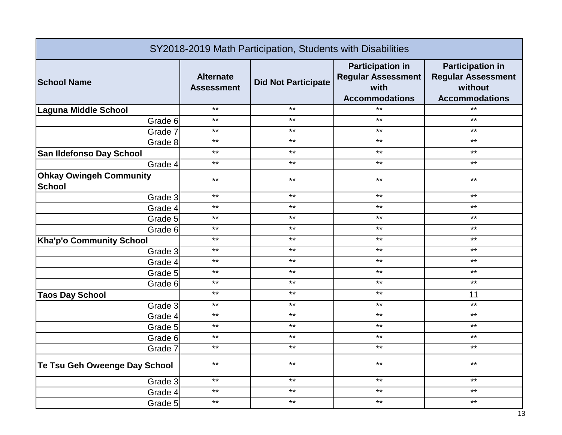| SY2018-2019 Math Participation, Students with Disabilities |                                       |                            |                                                                                       |                                                                                          |
|------------------------------------------------------------|---------------------------------------|----------------------------|---------------------------------------------------------------------------------------|------------------------------------------------------------------------------------------|
| <b>School Name</b>                                         | <b>Alternate</b><br><b>Assessment</b> | <b>Did Not Participate</b> | <b>Participation in</b><br><b>Regular Assessment</b><br>with<br><b>Accommodations</b> | <b>Participation in</b><br><b>Regular Assessment</b><br>without<br><b>Accommodations</b> |
| <b>Laguna Middle School</b>                                | $***$                                 | $***$                      | $***$                                                                                 | $***$                                                                                    |
| Grade 6                                                    | $***$                                 | $***$                      | $***$                                                                                 | $***$                                                                                    |
| Grade 7                                                    | $***$                                 | $***$                      | $***$                                                                                 | $***$                                                                                    |
| Grade 8                                                    | $***$                                 | $***$                      | $***$                                                                                 | $\star\star$                                                                             |
| San Ildefonso Day School                                   | $***$                                 | $***$                      | $***$                                                                                 | $***$                                                                                    |
| Grade 4                                                    | $***$                                 | $***$                      | $***$                                                                                 | $***$                                                                                    |
| <b>Ohkay Owingeh Community</b><br><b>School</b>            | $***$                                 | $***$                      | $***$                                                                                 | $***$                                                                                    |
| Grade 3                                                    | $***$                                 | $***$                      | $***$                                                                                 | $***$                                                                                    |
| Grade 4                                                    | $***$                                 | $***$                      | $***$                                                                                 | $***$                                                                                    |
| Grade 5                                                    | $***$                                 | $***$                      | $***$                                                                                 | $***$                                                                                    |
| Grade 6                                                    | $***$                                 | $***$                      | $***$                                                                                 | $***$                                                                                    |
| <b>Kha'p'o Community School</b>                            | $***$                                 | $***$                      | $***$                                                                                 | $***$                                                                                    |
| Grade 3                                                    | $***$                                 | $***$                      | $***$                                                                                 | $***$                                                                                    |
| Grade 4                                                    | $***$                                 | $***$                      | $***$                                                                                 | $***$                                                                                    |
| Grade 5                                                    | $***$                                 | $***$                      | $***$                                                                                 | $***$                                                                                    |
| Grade 6                                                    | $***$                                 | $***$                      | $***$                                                                                 | $***$                                                                                    |
| <b>Taos Day School</b>                                     | $***$                                 | $***$                      | $***$                                                                                 | 11                                                                                       |
| Grade 3                                                    | $***$                                 | $***$                      | $***$                                                                                 | $***$                                                                                    |
| Grade 4                                                    | $***$                                 | $***$                      | $***$                                                                                 | $***$                                                                                    |
| Grade 5                                                    | $***$                                 | $***$                      | $***$                                                                                 | $***$                                                                                    |
| Grade 6                                                    | $***$                                 | $***$                      | $***$                                                                                 | $***$                                                                                    |
| Grade 7                                                    | $***$                                 | $***$                      | $***$                                                                                 | $***$                                                                                    |
| Te Tsu Geh Oweenge Day School                              | $***$                                 | $***$                      | $***$                                                                                 | $***$                                                                                    |
| Grade 3                                                    | $***$                                 | $***$                      | $***$                                                                                 | $***$                                                                                    |
| Grade 4                                                    | $***$                                 | $***$                      | $***$                                                                                 | $***$                                                                                    |
| Grade 5                                                    | $***$                                 | $***$                      | $***$                                                                                 | $***$                                                                                    |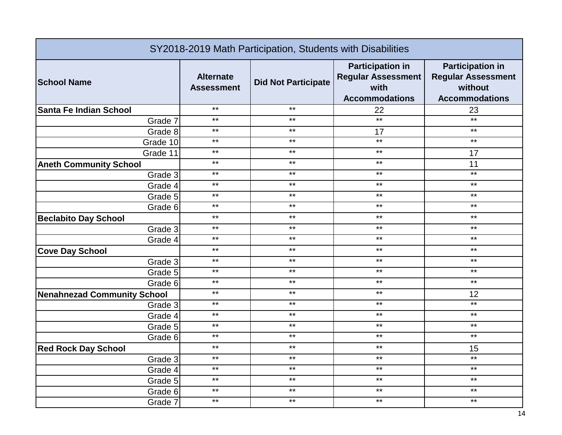| SY2018-2019 Math Participation, Students with Disabilities |                                       |                            |                                                                                       |                                                                                          |
|------------------------------------------------------------|---------------------------------------|----------------------------|---------------------------------------------------------------------------------------|------------------------------------------------------------------------------------------|
| <b>School Name</b>                                         | <b>Alternate</b><br><b>Assessment</b> | <b>Did Not Participate</b> | <b>Participation in</b><br><b>Regular Assessment</b><br>with<br><b>Accommodations</b> | <b>Participation in</b><br><b>Regular Assessment</b><br>without<br><b>Accommodations</b> |
| Santa Fe Indian School                                     | $***$                                 | $***$                      | 22                                                                                    | 23                                                                                       |
| Grade 7                                                    | $***$                                 | $***$                      | $***$                                                                                 | $***$                                                                                    |
| Grade 8                                                    | $***$                                 | $***$                      | 17                                                                                    | $***$                                                                                    |
| Grade 10                                                   | $***$                                 | $***$                      | $***$                                                                                 | $***$                                                                                    |
| Grade 11                                                   | $***$                                 | $***$                      | $***$                                                                                 | 17                                                                                       |
| <b>Aneth Community School</b>                              | $***$                                 | $***$                      | $***$                                                                                 | 11                                                                                       |
| Grade 3                                                    | $***$                                 | $***$                      | $***$                                                                                 | $***$                                                                                    |
| Grade 4                                                    | $***$                                 | $***$                      | $***$                                                                                 | $***$                                                                                    |
| Grade 5                                                    | $***$                                 | $***$                      | $***$                                                                                 | $***$                                                                                    |
| Grade 6                                                    | $***$                                 | $***$                      | $***$                                                                                 | $***$                                                                                    |
| <b>Beclabito Day School</b>                                | $***$                                 | $***$                      | $***$                                                                                 | $***$                                                                                    |
| Grade 3                                                    | $***$                                 | $***$                      | $***$                                                                                 | $***$                                                                                    |
| Grade 4                                                    | $***$                                 | $***$                      | $***$                                                                                 | $***$                                                                                    |
| <b>Cove Day School</b>                                     | $***$                                 | $***$                      | $***$                                                                                 | $***$                                                                                    |
| Grade 3                                                    | $***$                                 | $***$                      | $***$                                                                                 | $***$                                                                                    |
| Grade 5                                                    | $***$                                 | $***$                      | $***$                                                                                 | $***$                                                                                    |
| Grade 6                                                    | $***$                                 | $***$                      | $***$                                                                                 | $\star\star$                                                                             |
| <b>Nenahnezad Community School</b>                         | $***$                                 | $***$                      | $***$                                                                                 | 12                                                                                       |
| Grade 3                                                    | $***$                                 | $***$                      | $***$                                                                                 | $***$                                                                                    |
| Grade 4                                                    | $***$                                 | $***$                      | $***$                                                                                 | $***$                                                                                    |
| Grade 5                                                    | $***$                                 | $***$                      | $***$                                                                                 | $***$                                                                                    |
| Grade 6                                                    | $***$                                 | $***$                      | $***$                                                                                 | $***$                                                                                    |
| <b>Red Rock Day School</b>                                 | $***$                                 | $***$                      | $***$                                                                                 | 15                                                                                       |
| Grade 3                                                    | $***$                                 | $***$                      | $***$                                                                                 | $***$                                                                                    |
| Grade 4                                                    | $***$                                 | $***$                      | $***$                                                                                 | $***$                                                                                    |
| Grade 5                                                    | $***$                                 | $***$                      | $***$                                                                                 | $***$                                                                                    |
| Grade 6                                                    | $***$                                 | $***$                      | $***$                                                                                 | $***$                                                                                    |
| Grade 7                                                    | $***$                                 | $***$                      | $***$                                                                                 | $***$                                                                                    |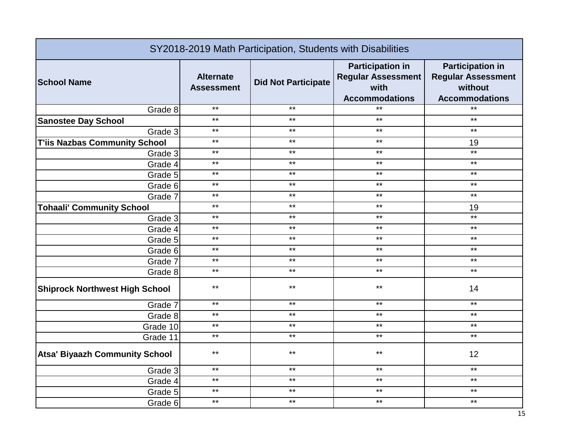| SY2018-2019 Math Participation, Students with Disabilities |                                       |                            |                                                                                       |                                                                                          |
|------------------------------------------------------------|---------------------------------------|----------------------------|---------------------------------------------------------------------------------------|------------------------------------------------------------------------------------------|
| <b>School Name</b>                                         | <b>Alternate</b><br><b>Assessment</b> | <b>Did Not Participate</b> | <b>Participation in</b><br><b>Regular Assessment</b><br>with<br><b>Accommodations</b> | <b>Participation in</b><br><b>Regular Assessment</b><br>without<br><b>Accommodations</b> |
| Grade 8                                                    | $***$                                 | $***$                      | $***$                                                                                 | $*$                                                                                      |
| <b>Sanostee Day School</b>                                 | $***$                                 | $***$                      | $***$                                                                                 | $***$                                                                                    |
| Grade 3                                                    | $***$                                 | $***$                      | $***$                                                                                 | $***$                                                                                    |
| <b>T'iis Nazbas Community School</b>                       | $***$                                 | $***$                      | $***$                                                                                 | 19                                                                                       |
| Grade 3                                                    | $***$                                 | $***$                      | $***$                                                                                 | $***$                                                                                    |
| Grade 4                                                    | $***$                                 | $***$                      | $***$                                                                                 | $***$                                                                                    |
| Grade 5                                                    | $***$                                 | $***$                      | $***$                                                                                 | $***$                                                                                    |
| Grade 6                                                    | $***$                                 | $***$                      | $***$                                                                                 | $***$                                                                                    |
| Grade 7                                                    | $***$                                 | $***$                      | $***$                                                                                 | $***$                                                                                    |
| <b>Tohaali' Community School</b>                           | $***$                                 | $***$                      | $***$                                                                                 | 19                                                                                       |
| Grade 3                                                    | $***$                                 | $***$                      | $***$                                                                                 | $*$                                                                                      |
| Grade 4                                                    | $***$                                 | $***$                      | $***$                                                                                 | $***$                                                                                    |
| Grade 5                                                    | $***$                                 | $***$                      | $***$                                                                                 | $***$                                                                                    |
| Grade 6                                                    | $***$                                 | $***$                      | $***$                                                                                 | $***$                                                                                    |
| Grade 7                                                    | $***$                                 | $***$                      | $***$                                                                                 | $***$                                                                                    |
| Grade 8                                                    | $***$                                 | $***$                      | $***$                                                                                 | $***$                                                                                    |
| <b>Shiprock Northwest High School</b>                      | $***$                                 | $***$                      | $***$                                                                                 | 14                                                                                       |
| Grade 7                                                    | $***$                                 | $***$                      | $***$                                                                                 | $***$                                                                                    |
| Grade 8                                                    | $***$                                 | $***$                      | $***$                                                                                 | $***$                                                                                    |
| Grade 10                                                   | $***$                                 | $***$                      | $***$                                                                                 | $***$                                                                                    |
| Grade 11                                                   | $***$                                 | $***$                      | $***$                                                                                 | $***$                                                                                    |
| <b>Atsa' Biyaazh Community School</b>                      | $***$                                 | $***$                      | $***$                                                                                 | 12                                                                                       |
| Grade 3                                                    | $***$                                 | $***$                      | $***$                                                                                 | $***$                                                                                    |
| Grade 4                                                    | $***$                                 | $***$                      | $***$                                                                                 | $***$                                                                                    |
| Grade 5                                                    | $***$                                 | $***$                      | $***$                                                                                 | $***$                                                                                    |
| Grade 6                                                    | $***$                                 | $***$                      | $***$                                                                                 | $***$                                                                                    |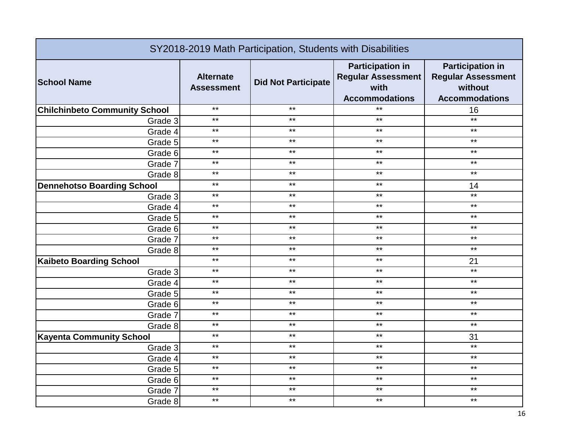| SY2018-2019 Math Participation, Students with Disabilities |                                       |                            |                                                                                       |                                                                                          |
|------------------------------------------------------------|---------------------------------------|----------------------------|---------------------------------------------------------------------------------------|------------------------------------------------------------------------------------------|
| <b>School Name</b>                                         | <b>Alternate</b><br><b>Assessment</b> | <b>Did Not Participate</b> | <b>Participation in</b><br><b>Regular Assessment</b><br>with<br><b>Accommodations</b> | <b>Participation in</b><br><b>Regular Assessment</b><br>without<br><b>Accommodations</b> |
| <b>Chilchinbeto Community School</b>                       | $***$                                 | $***$                      | $***$                                                                                 | 16                                                                                       |
| Grade 3                                                    | $***$                                 | $***$                      | $***$                                                                                 | $***$                                                                                    |
| Grade 4                                                    | $***$                                 | $***$                      | $\star\star$                                                                          | $\star\star$                                                                             |
| Grade 5                                                    | $***$                                 | $***$                      | $***$                                                                                 | $***$                                                                                    |
| Grade 6                                                    | $***$                                 | $***$                      | $***$                                                                                 | $***$                                                                                    |
| Grade 7                                                    | $***$                                 | $***$                      | $***$                                                                                 | $***$                                                                                    |
| Grade 8                                                    | $***$                                 | $***$                      | $***$                                                                                 | $***$                                                                                    |
| <b>Dennehotso Boarding School</b>                          | $***$                                 | $***$                      | $***$                                                                                 | 14                                                                                       |
| Grade 3                                                    | $***$                                 | $***$                      | $***$                                                                                 | $***$                                                                                    |
| Grade 4                                                    | $***$                                 | $***$                      | $***$                                                                                 | $***$                                                                                    |
| Grade 5                                                    | $***$                                 | $***$                      | $***$                                                                                 | $***$                                                                                    |
| Grade 6                                                    | $***$                                 | $***$                      | $***$                                                                                 | $***$                                                                                    |
| Grade 7                                                    | $***$                                 | $***$                      | $***$                                                                                 | $***$                                                                                    |
| Grade 8                                                    | $***$                                 | $***$                      | $***$                                                                                 | $***$                                                                                    |
| <b>Kaibeto Boarding School</b>                             | $***$                                 | $***$                      | $***$                                                                                 | 21                                                                                       |
| Grade 3                                                    | $***$                                 | $***$                      | $***$                                                                                 | $***$                                                                                    |
| Grade 4                                                    | $***$                                 | $***$                      | $***$                                                                                 | $***$                                                                                    |
| Grade 5                                                    | $***$                                 | $***$                      | $***$                                                                                 | $***$                                                                                    |
| Grade 6                                                    | $***$                                 | $***$                      | $***$                                                                                 | $***$                                                                                    |
| Grade 7                                                    | $***$                                 | $***$                      | $***$                                                                                 | $***$                                                                                    |
| Grade 8                                                    | $***$                                 | $***$                      | $***$                                                                                 | $***$                                                                                    |
| <b>Kayenta Community School</b>                            | $***$                                 | $***$                      | $***$                                                                                 | 31                                                                                       |
| Grade 3                                                    | $***$                                 | $***$                      | $***$                                                                                 | $***$                                                                                    |
| Grade 4                                                    | $***$                                 | $***$                      | $***$                                                                                 | $***$                                                                                    |
| Grade 5                                                    | $***$                                 | $***$                      | $***$                                                                                 | $***$                                                                                    |
| Grade 6                                                    | $***$                                 | $***$                      | $***$                                                                                 | $***$                                                                                    |
| Grade 7                                                    | $***$                                 | $***$                      | $***$                                                                                 | $***$                                                                                    |
| Grade 8                                                    | $***$                                 | $***$                      | $***$                                                                                 | $***$                                                                                    |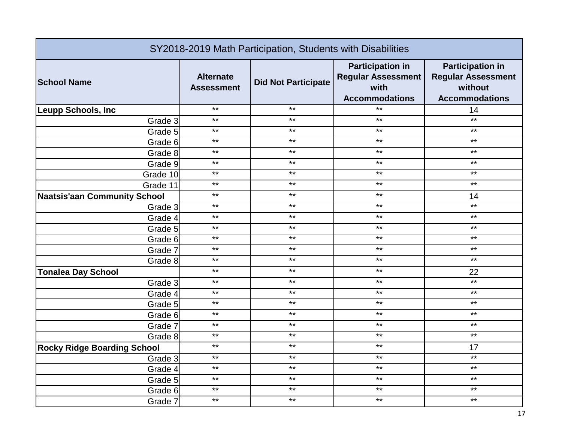| SY2018-2019 Math Participation, Students with Disabilities |                                       |                            |                                                                                       |                                                                                          |
|------------------------------------------------------------|---------------------------------------|----------------------------|---------------------------------------------------------------------------------------|------------------------------------------------------------------------------------------|
| <b>School Name</b>                                         | <b>Alternate</b><br><b>Assessment</b> | <b>Did Not Participate</b> | <b>Participation in</b><br><b>Regular Assessment</b><br>with<br><b>Accommodations</b> | <b>Participation in</b><br><b>Regular Assessment</b><br>without<br><b>Accommodations</b> |
| Leupp Schools, Inc                                         | $***$                                 | $***$                      | $***$                                                                                 | 14                                                                                       |
| Grade 3                                                    | $***$                                 | $***$                      | $***$                                                                                 | $***$                                                                                    |
| Grade 5                                                    | $***$                                 | $***$                      | $\star\star$                                                                          | $***$                                                                                    |
| Grade 6                                                    | $***$                                 | $***$                      | $***$                                                                                 | $***$                                                                                    |
| Grade 8                                                    | $***$                                 | $***$                      | $***$                                                                                 | $***$                                                                                    |
| Grade 9                                                    | $***$                                 | $***$                      | $***$                                                                                 | $***$                                                                                    |
| Grade 10                                                   | $***$                                 | $***$                      | $***$                                                                                 | $***$                                                                                    |
| Grade 11                                                   | $***$                                 | $***$                      | $***$                                                                                 | $***$                                                                                    |
| <b>Naatsis'aan Community School</b>                        | $***$                                 | $***$                      | $***$                                                                                 | 14                                                                                       |
| Grade 3                                                    | $***$                                 | $***$                      | $***$                                                                                 | $***$                                                                                    |
| Grade 4                                                    | $***$                                 | $***$                      | $***$                                                                                 | $***$                                                                                    |
| Grade 5                                                    | $***$                                 | $***$                      | $***$                                                                                 | $***$                                                                                    |
| Grade 6                                                    | $***$                                 | $***$                      | $***$                                                                                 | $***$                                                                                    |
| Grade 7                                                    | $***$                                 | $***$                      | $***$                                                                                 | $***$                                                                                    |
| Grade 8                                                    | $***$                                 | $***$                      | $***$                                                                                 | $***$                                                                                    |
| <b>Tonalea Day School</b>                                  | $***$                                 | $***$                      | $***$                                                                                 | 22                                                                                       |
| Grade 3                                                    | $***$                                 | $***$                      | $***$                                                                                 | $***$                                                                                    |
| Grade 4                                                    | $***$                                 | $***$                      | $***$                                                                                 | $***$                                                                                    |
| Grade 5                                                    | $***$                                 | $***$                      | $***$                                                                                 | $***$                                                                                    |
| Grade 6                                                    | $\star\star$                          | $***$                      | $***$                                                                                 | $\star\star$                                                                             |
| Grade 7                                                    | $***$                                 | $***$                      | $***$                                                                                 | $***$                                                                                    |
| Grade 8                                                    | $***$                                 | $***$                      | $***$                                                                                 | $***$                                                                                    |
| <b>Rocky Ridge Boarding School</b>                         | $***$                                 | $***$                      | $***$                                                                                 | 17                                                                                       |
| Grade 3                                                    | $***$                                 | $***$                      | $***$                                                                                 | $***$                                                                                    |
| Grade 4                                                    | $***$                                 | $***$                      | $\star\star$                                                                          | $***$                                                                                    |
| Grade 5                                                    | $***$                                 | $***$                      | $***$                                                                                 | $***$                                                                                    |
| Grade 6                                                    | $***$                                 | $***$                      | $***$                                                                                 | $***$                                                                                    |
| Grade 7                                                    | $***$                                 | $***$                      | $***$                                                                                 | $***$                                                                                    |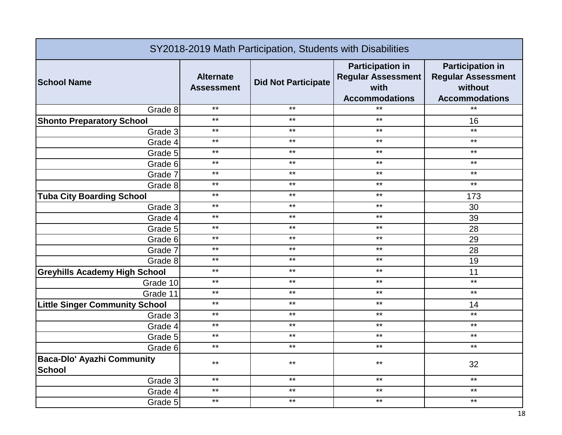| SY2018-2019 Math Participation, Students with Disabilities |                                       |                            |                                                                                       |                                                                                          |
|------------------------------------------------------------|---------------------------------------|----------------------------|---------------------------------------------------------------------------------------|------------------------------------------------------------------------------------------|
| <b>School Name</b>                                         | <b>Alternate</b><br><b>Assessment</b> | <b>Did Not Participate</b> | <b>Participation in</b><br><b>Regular Assessment</b><br>with<br><b>Accommodations</b> | <b>Participation in</b><br><b>Regular Assessment</b><br>without<br><b>Accommodations</b> |
| Grade 8                                                    | $***$                                 | $***$                      | $***$                                                                                 | $*$                                                                                      |
| <b>Shonto Preparatory School</b>                           | $***$                                 | $***$                      | $***$                                                                                 | 16                                                                                       |
| Grade 3                                                    | $***$                                 | $***$                      | $\star\star$                                                                          | $***$                                                                                    |
| Grade 4                                                    | $***$                                 | $***$                      | $***$                                                                                 | $***$                                                                                    |
| Grade 5                                                    | $***$                                 | $***$                      | $***$                                                                                 | $***$                                                                                    |
| Grade 6                                                    | $***$                                 | $***$                      | $***$                                                                                 | $***$                                                                                    |
| Grade 7                                                    | $***$                                 | $***$                      | $***$                                                                                 | $***$                                                                                    |
| Grade 8                                                    | $***$                                 | $***$                      | $***$                                                                                 | $***$                                                                                    |
| <b>Tuba City Boarding School</b>                           | $***$                                 | $***$                      | $***$                                                                                 | 173                                                                                      |
| Grade 3                                                    | $***$                                 | $***$                      | $***$                                                                                 | 30                                                                                       |
| Grade 4                                                    | $***$                                 | $***$                      | $***$                                                                                 | 39                                                                                       |
| Grade 5                                                    | $***$                                 | $***$                      | $***$                                                                                 | 28                                                                                       |
| Grade 6                                                    | $***$                                 | $***$                      | $***$                                                                                 | 29                                                                                       |
| Grade 7                                                    | $***$                                 | $***$                      | $***$                                                                                 | 28                                                                                       |
| Grade 8                                                    | $***$                                 | $***$                      | $***$                                                                                 | 19                                                                                       |
| <b>Greyhills Academy High School</b>                       | $***$                                 | $***$                      | $***$                                                                                 | 11                                                                                       |
| Grade 10                                                   | $***$                                 | $***$                      | $***$                                                                                 | $***$                                                                                    |
| Grade 11                                                   | $***$                                 | $***$                      | $***$                                                                                 | $***$                                                                                    |
| <b>Little Singer Community School</b>                      | $***$                                 | $***$                      | $***$                                                                                 | 14                                                                                       |
| Grade 3                                                    | $***$                                 | $***$                      | $***$                                                                                 | $***$                                                                                    |
| Grade 4                                                    | $***$                                 | $***$                      | $***$                                                                                 | $***$                                                                                    |
| Grade 5                                                    | $***$                                 | $***$                      | $***$                                                                                 | $***$                                                                                    |
| Grade 6                                                    | $***$                                 | $***$                      | $***$                                                                                 | $***$                                                                                    |
| <b>Baca-Dlo' Ayazhi Community</b><br><b>School</b>         | $***$                                 | $***$                      | $***$                                                                                 | 32                                                                                       |
| Grade 3                                                    | $***$                                 | $***$                      | $***$                                                                                 | $***$                                                                                    |
| Grade 4                                                    | $***$                                 | $\star\star$               | $***$                                                                                 | $\star\star$                                                                             |
| Grade 5                                                    | $***$                                 | $***$                      | $***$                                                                                 | $***$                                                                                    |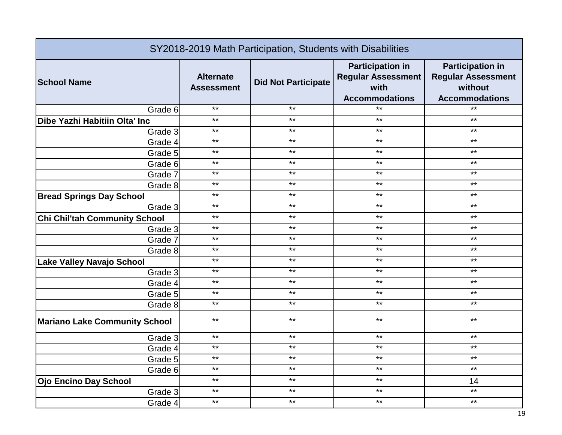| SY2018-2019 Math Participation, Students with Disabilities |                                       |                            |                                                                                       |                                                                                          |
|------------------------------------------------------------|---------------------------------------|----------------------------|---------------------------------------------------------------------------------------|------------------------------------------------------------------------------------------|
| <b>School Name</b>                                         | <b>Alternate</b><br><b>Assessment</b> | <b>Did Not Participate</b> | <b>Participation in</b><br><b>Regular Assessment</b><br>with<br><b>Accommodations</b> | <b>Participation in</b><br><b>Regular Assessment</b><br>without<br><b>Accommodations</b> |
| Grade 6                                                    | $***$                                 | $***$                      | $***$                                                                                 | $\ast\ast$                                                                               |
| Dibe Yazhi Habitiin Olta' Inc                              | $***$                                 | $***$                      | $***$                                                                                 | $***$                                                                                    |
| Grade 3                                                    | $***$                                 | $***$                      | $***$                                                                                 | $***$                                                                                    |
| Grade 4                                                    | $***$                                 | $***$                      | $***$                                                                                 | $***$                                                                                    |
| Grade 5                                                    | $***$                                 | $***$                      | $***$                                                                                 | $***$                                                                                    |
| Grade 6                                                    | $***$                                 | $***$                      | $***$                                                                                 | $***$                                                                                    |
| Grade 7                                                    | $***$                                 | $***$                      | $***$                                                                                 | $***$                                                                                    |
| Grade 8                                                    | $***$                                 | $***$                      | $***$                                                                                 | $***$                                                                                    |
| <b>Bread Springs Day School</b>                            | $***$                                 | $***$                      | $***$                                                                                 | $***$                                                                                    |
| Grade 3                                                    | $***$                                 | $***$                      | $***$                                                                                 | $***$                                                                                    |
| <b>Chi Chil'tah Community School</b>                       | $***$                                 | $***$                      | $***$                                                                                 | $***$                                                                                    |
| Grade 3                                                    | $***$                                 | $***$                      | $***$                                                                                 | $***$                                                                                    |
| Grade 7                                                    | $***$                                 | $***$                      | $***$                                                                                 | $***$                                                                                    |
| Grade 8                                                    | $***$                                 | $***$                      | $***$                                                                                 | $***$                                                                                    |
| Lake Valley Navajo School                                  | $***$                                 | $***$                      | $***$                                                                                 | $***$                                                                                    |
| Grade 3                                                    | $***$                                 | $***$                      | $***$                                                                                 | $***$                                                                                    |
| Grade 4                                                    | $***$                                 | $***$                      | $***$                                                                                 | $***$                                                                                    |
| Grade 5                                                    | $***$                                 | $***$                      | $***$                                                                                 | $***$                                                                                    |
| Grade 8                                                    | $***$                                 | $***$                      | $***$                                                                                 | $***$                                                                                    |
| <b>Mariano Lake Community School</b>                       | $***$                                 | $***$                      | $***$                                                                                 | $***$                                                                                    |
| Grade 3                                                    | $***$                                 | $***$                      | $***$                                                                                 | $***$                                                                                    |
| Grade 4                                                    | $***$                                 | $***$                      | $***$                                                                                 | $***$                                                                                    |
| Grade 5                                                    | $***$                                 | $***$                      | $***$                                                                                 | $***$                                                                                    |
| Grade 6                                                    | $***$                                 | $***$                      | $***$                                                                                 | $***$                                                                                    |
| <b>Ojo Encino Day School</b>                               | $***$                                 | $***$                      | $***$                                                                                 | 14                                                                                       |
| Grade 3                                                    | $***$                                 | $***$                      | $***$                                                                                 | $***$                                                                                    |
| Grade 4                                                    | $***$                                 | $***$                      | $***$                                                                                 | $***$                                                                                    |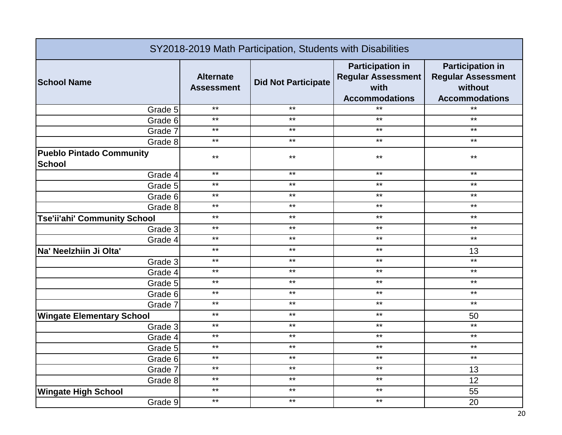| SY2018-2019 Math Participation, Students with Disabilities |                                       |                            |                                                                                       |                                                                                          |
|------------------------------------------------------------|---------------------------------------|----------------------------|---------------------------------------------------------------------------------------|------------------------------------------------------------------------------------------|
| <b>School Name</b>                                         | <b>Alternate</b><br><b>Assessment</b> | <b>Did Not Participate</b> | <b>Participation in</b><br><b>Regular Assessment</b><br>with<br><b>Accommodations</b> | <b>Participation in</b><br><b>Regular Assessment</b><br>without<br><b>Accommodations</b> |
| Grade 5                                                    | $***$                                 | $***$                      | $*$                                                                                   | $*$                                                                                      |
| Grade 6                                                    | $***$                                 | $***$                      | $***$                                                                                 | $***$                                                                                    |
| Grade 7                                                    | $***$                                 | $***$                      | $***$                                                                                 | $***$                                                                                    |
| Grade 8                                                    | $***$                                 | $***$                      | $***$                                                                                 | $***$                                                                                    |
| <b>Pueblo Pintado Community</b><br><b>School</b>           | $***$                                 | $***$                      | $***$                                                                                 | $***$                                                                                    |
| Grade 4                                                    | $***$                                 | $***$                      | $***$                                                                                 | $***$                                                                                    |
| Grade 5                                                    | $***$                                 | $***$                      | $***$                                                                                 | $***$                                                                                    |
| Grade 6                                                    | $***$                                 | $***$                      | $***$                                                                                 | $***$                                                                                    |
| Grade 8                                                    | $***$                                 | $***$                      | $***$                                                                                 | $***$                                                                                    |
| <b>Tse'ii'ahi' Community School</b>                        | $***$                                 | $***$                      | $***$                                                                                 | $***$                                                                                    |
| Grade 3                                                    | $***$                                 | $***$                      | $***$                                                                                 | $***$                                                                                    |
| Grade 4                                                    | $***$                                 | $***$                      | $***$                                                                                 | $***$                                                                                    |
| Na' Neelzhiin Ji Olta'                                     | $***$                                 | $***$                      | $***$                                                                                 | 13                                                                                       |
| Grade 3                                                    | $***$                                 | $***$                      | $***$                                                                                 | $*$                                                                                      |
| Grade 4                                                    | $***$                                 | $***$                      | $***$                                                                                 | $***$                                                                                    |
| Grade 5                                                    | $***$                                 | $***$                      | $***$                                                                                 | $***$                                                                                    |
| Grade 6                                                    | $***$                                 | $***$                      | $***$                                                                                 | $***$                                                                                    |
| Grade 7                                                    | $***$                                 | $***$                      | $***$                                                                                 | $***$                                                                                    |
| <b>Wingate Elementary School</b>                           | $***$                                 | $***$                      | $***$                                                                                 | 50                                                                                       |
| Grade 3                                                    | $***$                                 | $***$                      | $***$                                                                                 | $***$                                                                                    |
| Grade 4                                                    | $***$                                 | $***$                      | $***$                                                                                 | $***$                                                                                    |
| Grade 5                                                    | $***$                                 | $***$                      | $***$                                                                                 | $***$                                                                                    |
| Grade 6                                                    | $***$                                 | $***$                      | $***$                                                                                 | $***$                                                                                    |
| Grade 7                                                    | $***$                                 | $***$                      | $***$                                                                                 | 13                                                                                       |
| Grade 8                                                    | $***$                                 | $***$                      | $***$                                                                                 | 12                                                                                       |
| <b>Wingate High School</b>                                 | $***$                                 | $***$                      | $***$                                                                                 | 55                                                                                       |
| Grade 9                                                    | $***$                                 | $***$                      | $***$                                                                                 | 20                                                                                       |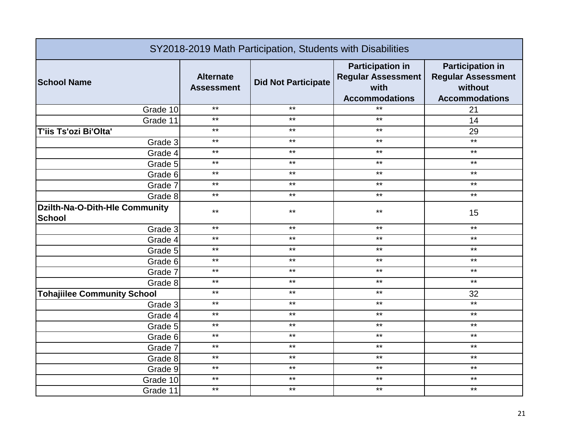| SY2018-2019 Math Participation, Students with Disabilities |                                       |                            |                                                                                       |                                                                                          |
|------------------------------------------------------------|---------------------------------------|----------------------------|---------------------------------------------------------------------------------------|------------------------------------------------------------------------------------------|
| <b>School Name</b>                                         | <b>Alternate</b><br><b>Assessment</b> | <b>Did Not Participate</b> | <b>Participation in</b><br><b>Regular Assessment</b><br>with<br><b>Accommodations</b> | <b>Participation in</b><br><b>Regular Assessment</b><br>without<br><b>Accommodations</b> |
| Grade 10                                                   | $***$                                 | $***$                      | $\star\star$                                                                          | 21                                                                                       |
| Grade 11                                                   | $***$                                 | $***$                      | $***$                                                                                 | 14                                                                                       |
| T'iis Ts'ozi Bi'Olta'                                      | $***$                                 | $***$                      | $***$                                                                                 | 29                                                                                       |
| Grade 3                                                    | $***$                                 | $***$                      | $***$                                                                                 | $***$                                                                                    |
| Grade 4                                                    | $***$                                 | $***$                      | $***$                                                                                 | $***$                                                                                    |
| Grade 5                                                    | $***$                                 | $***$                      | $***$                                                                                 | $***$                                                                                    |
| Grade 6                                                    | $***$                                 | $***$                      | $***$                                                                                 | $***$                                                                                    |
| Grade 7                                                    | $***$                                 | $***$                      | $***$                                                                                 | $***$                                                                                    |
| Grade 8                                                    | $***$                                 | $***$                      | $***$                                                                                 | $***$                                                                                    |
| Dzilth-Na-O-Dith-Hle Community<br><b>School</b>            | $***$                                 | $***$                      | $***$                                                                                 | 15                                                                                       |
| Grade 3                                                    | $***$                                 | $***$                      | $***$                                                                                 | $***$                                                                                    |
| Grade 4                                                    | $***$                                 | $***$                      | $***$                                                                                 | $***$                                                                                    |
| Grade 5                                                    | $***$                                 | $***$                      | $***$                                                                                 | $***$                                                                                    |
| Grade 6                                                    | $***$                                 | $***$                      | $***$                                                                                 | $***$                                                                                    |
| Grade 7                                                    | $***$                                 | $***$                      | $***$                                                                                 | $***$                                                                                    |
| Grade 8                                                    | $***$                                 | $***$                      | $***$                                                                                 | $***$                                                                                    |
| <b>Tohajiilee Community School</b>                         | $***$                                 | $***$                      | $***$                                                                                 | 32                                                                                       |
| Grade 3                                                    | $***$                                 | $***$                      | $***$                                                                                 | $***$                                                                                    |
| Grade 4                                                    | $***$                                 | $***$                      | $***$                                                                                 | $***$                                                                                    |
| Grade 5                                                    | $***$                                 | $***$                      | $***$                                                                                 | $***$                                                                                    |
| Grade 6                                                    | $***$                                 | $***$                      | $***$                                                                                 | $***$                                                                                    |
| Grade 7                                                    | $***$                                 | $***$                      | $***$                                                                                 | $***$                                                                                    |
| Grade 8                                                    | $***$                                 | $***$                      | $***$                                                                                 | $***$                                                                                    |
| Grade 9                                                    | $***$                                 | $***$                      | $***$                                                                                 | $\star\star$                                                                             |
| Grade 10                                                   | $***$                                 | $***$                      | $***$                                                                                 | $***$                                                                                    |
| Grade 11                                                   | $***$                                 | $***$                      | $***$                                                                                 | $***$                                                                                    |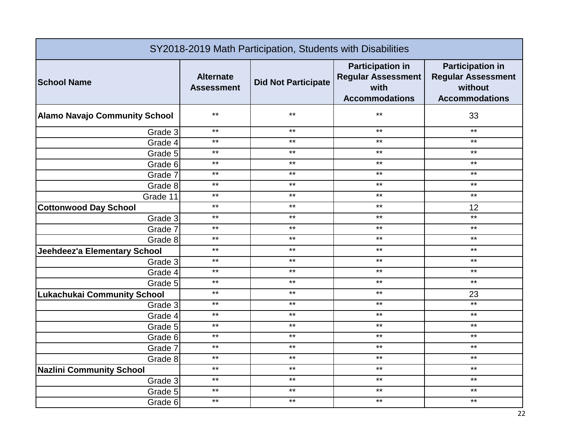| SY2018-2019 Math Participation, Students with Disabilities |                                       |                            |                                                                                       |                                                                                          |
|------------------------------------------------------------|---------------------------------------|----------------------------|---------------------------------------------------------------------------------------|------------------------------------------------------------------------------------------|
| <b>School Name</b>                                         | <b>Alternate</b><br><b>Assessment</b> | <b>Did Not Participate</b> | <b>Participation in</b><br><b>Regular Assessment</b><br>with<br><b>Accommodations</b> | <b>Participation in</b><br><b>Regular Assessment</b><br>without<br><b>Accommodations</b> |
| <b>Alamo Navajo Community School</b>                       | $***$                                 | $***$                      | $***$                                                                                 | 33                                                                                       |
| Grade 3                                                    | $***$                                 | $***$                      | $***$                                                                                 | $***$                                                                                    |
| Grade 4                                                    | $***$                                 | $***$                      | $***$                                                                                 | $***$                                                                                    |
| Grade 5                                                    | $***$                                 | $***$                      | $***$                                                                                 | $***$                                                                                    |
| Grade 6                                                    | $***$                                 | $***$                      | $***$                                                                                 | $***$                                                                                    |
| Grade 7                                                    | $***$                                 | $***$                      | $***$                                                                                 | $***$                                                                                    |
| Grade 8                                                    | $***$                                 | $***$                      | $***$                                                                                 | $***$                                                                                    |
| Grade 11                                                   | $***$                                 | $***$                      | $***$                                                                                 | $***$                                                                                    |
| <b>Cottonwood Day School</b>                               | $***$                                 | $***$                      | $***$                                                                                 | 12                                                                                       |
| Grade 3                                                    | $***$                                 | $***$                      | $***$                                                                                 | $***$                                                                                    |
| Grade 7                                                    | $***$                                 | $***$                      | $***$                                                                                 | $***$                                                                                    |
| Grade 8                                                    | $***$                                 | $***$                      | $***$                                                                                 | $***$                                                                                    |
| Jeehdeez'a Elementary School                               | $***$                                 | $***$                      | $***$                                                                                 | $***$                                                                                    |
| Grade 3                                                    | $***$                                 | $***$                      | $***$                                                                                 | $***$                                                                                    |
| Grade 4                                                    | $***$                                 | $***$                      | $***$                                                                                 | $***$                                                                                    |
| Grade 5                                                    | $***$                                 | $***$                      | $***$                                                                                 | $***$                                                                                    |
| <b>Lukachukai Community School</b>                         | $***$                                 | $***$                      | $***$                                                                                 | 23                                                                                       |
| Grade 3                                                    | $***$                                 | $***$                      | $***$                                                                                 | $***$                                                                                    |
| Grade 4                                                    | $***$                                 | $***$                      | $***$                                                                                 | $***$                                                                                    |
| Grade 5                                                    | $***$                                 | $***$                      | $***$                                                                                 | $***$                                                                                    |
| Grade 6                                                    | $***$                                 | $***$                      | $***$                                                                                 | $***$                                                                                    |
| Grade 7                                                    | $***$                                 | $***$                      | $***$                                                                                 | $***$                                                                                    |
| Grade 8                                                    | $***$                                 | $***$                      | $***$                                                                                 | $***$                                                                                    |
| <b>Nazlini Community School</b>                            | $***$                                 | $***$                      | $***$                                                                                 | $***$                                                                                    |
| Grade 3                                                    | $***$                                 | $***$                      | $***$                                                                                 | $***$                                                                                    |
| Grade 5                                                    | $***$                                 | $***$                      | $***$                                                                                 | $***$                                                                                    |
| Grade 6                                                    | $***$                                 | $***$                      | $***$                                                                                 | $***$                                                                                    |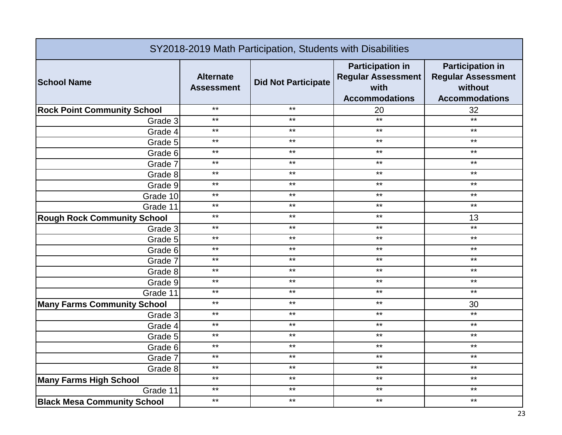| SY2018-2019 Math Participation, Students with Disabilities |                                       |                            |                                                                                       |                                                                                          |
|------------------------------------------------------------|---------------------------------------|----------------------------|---------------------------------------------------------------------------------------|------------------------------------------------------------------------------------------|
| <b>School Name</b>                                         | <b>Alternate</b><br><b>Assessment</b> | <b>Did Not Participate</b> | <b>Participation in</b><br><b>Regular Assessment</b><br>with<br><b>Accommodations</b> | <b>Participation in</b><br><b>Regular Assessment</b><br>without<br><b>Accommodations</b> |
| <b>Rock Point Community School</b>                         | $***$                                 | $***$                      | 20                                                                                    | 32                                                                                       |
| Grade 3                                                    | $***$                                 | $***$                      | $***$                                                                                 | $***$                                                                                    |
| Grade 4                                                    | $***$                                 | $***$                      | $\star\star$                                                                          | $***$                                                                                    |
| Grade 5                                                    | $***$                                 | $***$                      | $***$                                                                                 | $***$                                                                                    |
| Grade 6                                                    | $***$                                 | $***$                      | $***$                                                                                 | $***$                                                                                    |
| Grade 7                                                    | $***$                                 | $***$                      | $***$                                                                                 | $***$                                                                                    |
| Grade 8                                                    | $***$                                 | $***$                      | $***$                                                                                 | $***$                                                                                    |
| Grade 9                                                    | $***$                                 | $***$                      | $***$                                                                                 | $***$                                                                                    |
| Grade 10                                                   | $***$                                 | $***$                      | $***$                                                                                 | $***$                                                                                    |
| Grade 11                                                   | $***$                                 | $***$                      | $***$                                                                                 | $***$                                                                                    |
| <b>Rough Rock Community School</b>                         | $***$                                 | $***$                      | $***$                                                                                 | 13                                                                                       |
| Grade 3                                                    | $***$                                 | $***$                      | $***$                                                                                 | $***$                                                                                    |
| Grade 5                                                    | $***$                                 | $***$                      | $***$                                                                                 | $\star\star$                                                                             |
| Grade 6                                                    | $***$                                 | $***$                      | $***$                                                                                 | $***$                                                                                    |
| Grade 7                                                    | $***$                                 | $***$                      | $***$                                                                                 | $***$                                                                                    |
| Grade 8                                                    | $***$                                 | $***$                      | $***$                                                                                 | $***$                                                                                    |
| Grade 9                                                    | $***$                                 | $***$                      | $***$                                                                                 | $***$                                                                                    |
| Grade 11                                                   | $***$                                 | $***$                      | $***$                                                                                 | $***$                                                                                    |
| <b>Many Farms Community School</b>                         | $***$                                 | $***$                      | $***$                                                                                 | 30                                                                                       |
| Grade $3$                                                  | $***$                                 | $***$                      | $***$                                                                                 | $***$                                                                                    |
| Grade 4                                                    | $***$                                 | $***$                      | $***$                                                                                 | $***$                                                                                    |
| Grade 5                                                    | $***$                                 | $***$                      | $***$                                                                                 | $***$                                                                                    |
| Grade 6                                                    | $***$                                 | $***$                      | $***$                                                                                 | $***$                                                                                    |
| Grade 7                                                    | $***$                                 | $***$                      | $***$                                                                                 | $***$                                                                                    |
| Grade 8                                                    | $***$                                 | $***$                      | $***$                                                                                 | $***$                                                                                    |
| <b>Many Farms High School</b>                              | $***$                                 | $***$                      | $***$                                                                                 | $***$                                                                                    |
| Grade 11                                                   | $***$                                 | $***$                      | $***$                                                                                 | $***$                                                                                    |
| <b>Black Mesa Community School</b>                         | $***$                                 | $***$                      | $***$                                                                                 | $***$                                                                                    |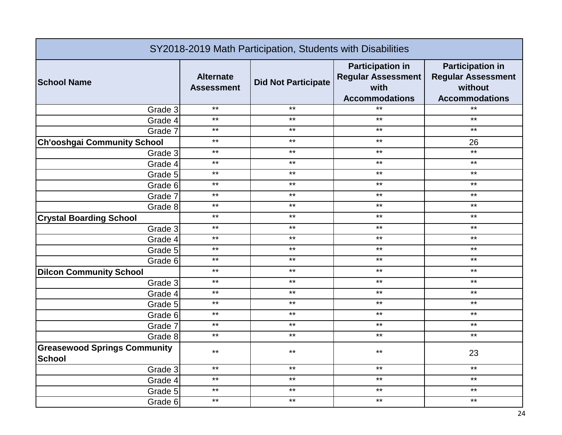| SY2018-2019 Math Participation, Students with Disabilities |                                       |                            |                                                                                       |                                                                                          |
|------------------------------------------------------------|---------------------------------------|----------------------------|---------------------------------------------------------------------------------------|------------------------------------------------------------------------------------------|
| <b>School Name</b>                                         | <b>Alternate</b><br><b>Assessment</b> | <b>Did Not Participate</b> | <b>Participation in</b><br><b>Regular Assessment</b><br>with<br><b>Accommodations</b> | <b>Participation in</b><br><b>Regular Assessment</b><br>without<br><b>Accommodations</b> |
| Grade 3                                                    | $***$                                 | $***$                      | $***$                                                                                 | $***$                                                                                    |
| Grade 4                                                    | $***$                                 | $***$                      | $***$                                                                                 | $***$                                                                                    |
| Grade 7                                                    | $***$                                 | $***$                      | $***$                                                                                 | $***$                                                                                    |
| <b>Ch'ooshgai Community School</b>                         | $***$                                 | $***$                      | $***$                                                                                 | 26                                                                                       |
| Grade 3                                                    | $***$                                 | $***$                      | $***$                                                                                 | $***$                                                                                    |
| Grade 4                                                    | $***$                                 | $***$                      | $***$                                                                                 | $***$                                                                                    |
| Grade 5                                                    | $***$                                 | $***$                      | $***$                                                                                 | $***$                                                                                    |
| Grade 6                                                    | $***$                                 | $***$                      | $***$                                                                                 | $***$                                                                                    |
| Grade 7                                                    | $***$                                 | $***$                      | $***$                                                                                 | $***$                                                                                    |
| Grade 8                                                    | $***$                                 | $***$                      | $***$                                                                                 | $***$                                                                                    |
| <b>Crystal Boarding School</b>                             | $***$                                 | $***$                      | $***$                                                                                 | $***$                                                                                    |
| Grade 3                                                    | $***$                                 | $***$                      | $***$                                                                                 | $***$                                                                                    |
| Grade 4                                                    | $***$                                 | $***$                      | $***$                                                                                 | $***$                                                                                    |
| Grade 5                                                    | $***$                                 | $***$                      | $***$                                                                                 | $***$                                                                                    |
| Grade 6                                                    | $***$                                 | $***$                      | $***$                                                                                 | $***$                                                                                    |
| <b>Dilcon Community School</b>                             | $***$                                 | $***$                      | $***$                                                                                 | $***$                                                                                    |
| Grade 3                                                    | $***$                                 | $***$                      | $***$                                                                                 | $***$                                                                                    |
| Grade 4                                                    | $***$                                 | $***$                      | $***$                                                                                 | $***$                                                                                    |
| Grade 5                                                    | $***$                                 | $***$                      | $***$                                                                                 | $***$                                                                                    |
| Grade 6                                                    | $***$                                 | $***$                      | $***$                                                                                 | $***$                                                                                    |
| Grade 7                                                    | $***$                                 | $***$                      | $***$                                                                                 | $***$                                                                                    |
| Grade 8                                                    | $***$                                 | $***$                      | $***$                                                                                 | $***$                                                                                    |
| <b>Greasewood Springs Community</b><br><b>School</b>       | $***$                                 | $***$                      | $***$                                                                                 | 23                                                                                       |
| Grade 3                                                    | $***$                                 | $***$                      | $***$                                                                                 | $***$                                                                                    |
| Grade 4                                                    | $***$                                 | $***$                      | $***$                                                                                 | $***$                                                                                    |
| Grade 5                                                    | $***$                                 | $***$                      | $***$                                                                                 | $***$                                                                                    |
| Grade 6                                                    | $***$                                 | $***$                      | $***$                                                                                 | $***$                                                                                    |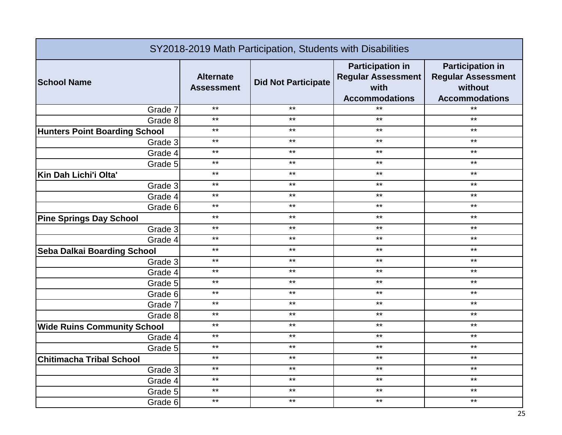| SY2018-2019 Math Participation, Students with Disabilities |                                       |                            |                                                                                       |                                                                                          |
|------------------------------------------------------------|---------------------------------------|----------------------------|---------------------------------------------------------------------------------------|------------------------------------------------------------------------------------------|
| <b>School Name</b>                                         | <b>Alternate</b><br><b>Assessment</b> | <b>Did Not Participate</b> | <b>Participation in</b><br><b>Regular Assessment</b><br>with<br><b>Accommodations</b> | <b>Participation in</b><br><b>Regular Assessment</b><br>without<br><b>Accommodations</b> |
| Grade 7                                                    | $***$                                 | $***$                      | $***$                                                                                 | $*$                                                                                      |
| Grade 8                                                    | $***$                                 | $***$                      | $***$                                                                                 | $***$                                                                                    |
| <b>Hunters Point Boarding School</b>                       | $***$                                 | $***$                      | $***$                                                                                 | $***$                                                                                    |
| Grade 3                                                    | $***$                                 | $***$                      | $***$                                                                                 | $***$                                                                                    |
| Grade 4                                                    | $***$                                 | $***$                      | $***$                                                                                 | $***$                                                                                    |
| Grade 5                                                    | $***$                                 | $***$                      | $***$                                                                                 | $***$                                                                                    |
| Kin Dah Lichi'i Olta'                                      | $***$                                 | $***$                      | $***$                                                                                 | $***$                                                                                    |
| Grade 3                                                    | $***$                                 | $***$                      | $***$                                                                                 | $***$                                                                                    |
| Grade 4                                                    | $***$                                 | $***$                      | $***$                                                                                 | $***$                                                                                    |
| Grade 6                                                    | $***$                                 | $***$                      | $***$                                                                                 | $***$                                                                                    |
| <b>Pine Springs Day School</b>                             | $***$                                 | $***$                      | $***$                                                                                 | $***$                                                                                    |
| Grade 3                                                    | $***$                                 | $***$                      | $***$                                                                                 | $***$                                                                                    |
| Grade 4                                                    | $***$                                 | $***$                      | $***$                                                                                 | $***$                                                                                    |
| Seba Dalkai Boarding School                                | $***$                                 | $***$                      | $***$                                                                                 | $***$                                                                                    |
| Grade 3                                                    | $***$                                 | $***$                      | $***$                                                                                 | $***$                                                                                    |
| Grade 4                                                    | $***$                                 | $***$                      | $***$                                                                                 | $***$                                                                                    |
| Grade 5                                                    | $***$                                 | $***$                      | $***$                                                                                 | $***$                                                                                    |
| Grade 6                                                    | $***$                                 | $***$                      | $***$                                                                                 | $***$                                                                                    |
| Grade 7                                                    | $***$                                 | $***$                      | $***$                                                                                 | $***$                                                                                    |
| Grade 8                                                    | $***$                                 | $***$                      | $***$                                                                                 | $***$                                                                                    |
| <b>Wide Ruins Community School</b>                         | $***$                                 | $***$                      | $***$                                                                                 | $***$                                                                                    |
| Grade 4                                                    | $***$                                 | $***$                      | $***$                                                                                 | $***$                                                                                    |
| Grade 5                                                    | $***$                                 | $***$                      | $***$                                                                                 | $***$                                                                                    |
| <b>Chitimacha Tribal School</b>                            | $***$                                 | $***$                      | $***$                                                                                 | $***$                                                                                    |
| Grade 3                                                    | $***$                                 | $***$                      | $***$                                                                                 | $***$                                                                                    |
| Grade 4                                                    | $***$                                 | $***$                      | $***$                                                                                 | $***$                                                                                    |
| Grade 5                                                    | $***$                                 | $***$                      | $***$                                                                                 | $***$                                                                                    |
| Grade 6                                                    | $***$                                 | $***$                      | $***$                                                                                 | $***$                                                                                    |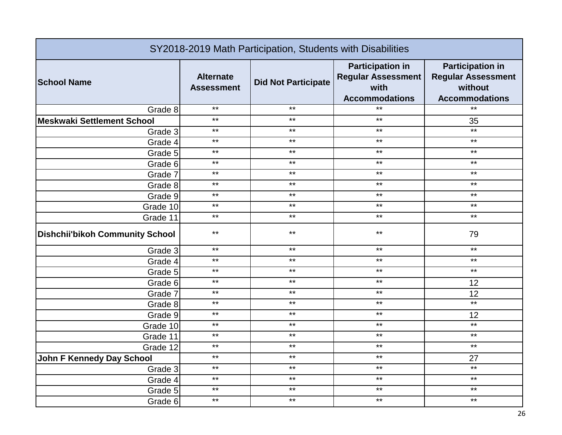| SY2018-2019 Math Participation, Students with Disabilities |                                       |                            |                                                                                       |                                                                                          |
|------------------------------------------------------------|---------------------------------------|----------------------------|---------------------------------------------------------------------------------------|------------------------------------------------------------------------------------------|
| <b>School Name</b>                                         | <b>Alternate</b><br><b>Assessment</b> | <b>Did Not Participate</b> | <b>Participation in</b><br><b>Regular Assessment</b><br>with<br><b>Accommodations</b> | <b>Participation in</b><br><b>Regular Assessment</b><br>without<br><b>Accommodations</b> |
| Grade 8                                                    | $***$                                 | $***$                      | $***$                                                                                 | $*$                                                                                      |
| <b>Meskwaki Settlement School</b>                          | $***$                                 | $***$                      | $***$                                                                                 | 35                                                                                       |
| Grade 3                                                    | $***$                                 | $***$                      | $\star\star$                                                                          | $***$                                                                                    |
| Grade 4                                                    | $***$                                 | $***$                      | $***$                                                                                 | $***$                                                                                    |
| Grade 5                                                    | $***$                                 | $***$                      | $***$                                                                                 | $***$                                                                                    |
| Grade 6                                                    | $***$                                 | $***$                      | $***$                                                                                 | $***$                                                                                    |
| Grade 7                                                    | $***$                                 | $***$                      | $***$                                                                                 | $***$                                                                                    |
| Grade 8                                                    | $***$                                 | $***$                      | $***$                                                                                 | $***$                                                                                    |
| Grade 9                                                    | $***$                                 | $***$                      | $***$                                                                                 | $***$                                                                                    |
| Grade 10                                                   | $***$                                 | $***$                      | $***$                                                                                 | $***$                                                                                    |
| Grade 11                                                   | $***$                                 | $***$                      | $***$                                                                                 | $***$                                                                                    |
| <b>Dishchii'bikoh Community School</b>                     | $***$                                 | $***$                      | $***$                                                                                 | 79                                                                                       |
| Grade 3                                                    | $***$                                 | $***$                      | $***$                                                                                 | $***$                                                                                    |
| Grade 4                                                    | $***$                                 | $***$                      | $***$                                                                                 | $***$                                                                                    |
| Grade 5                                                    | $***$                                 | $***$                      | $***$                                                                                 | $***$                                                                                    |
| Grade 6                                                    | $***$                                 | $***$                      | $***$                                                                                 | 12                                                                                       |
| Grade 7                                                    | $***$                                 | $***$                      | $***$                                                                                 | 12                                                                                       |
| Grade 8                                                    | $***$                                 | $***$                      | $***$                                                                                 | $***$                                                                                    |
| Grade 9                                                    | $***$                                 | $***$                      | $***$                                                                                 | 12                                                                                       |
| Grade 10                                                   | $***$                                 | $***$                      | $***$                                                                                 | $***$                                                                                    |
| Grade 11                                                   | $***$                                 | $***$                      | $***$                                                                                 | $***$                                                                                    |
| Grade 12                                                   | $***$                                 | $***$                      | $***$                                                                                 | $***$                                                                                    |
| <b>John F Kennedy Day School</b>                           | $***$                                 | $***$                      | $***$                                                                                 | 27                                                                                       |
| Grade 3                                                    | $***$                                 | $***$                      | $\star\star$                                                                          | $***$                                                                                    |
| Grade 4                                                    | $***$                                 | $***$                      | $***$                                                                                 | $***$                                                                                    |
| Grade 5                                                    | $***$                                 | $***$                      | $***$                                                                                 | $***$                                                                                    |
| Grade 6                                                    | $***$                                 | $***$                      | $***$                                                                                 | $***$                                                                                    |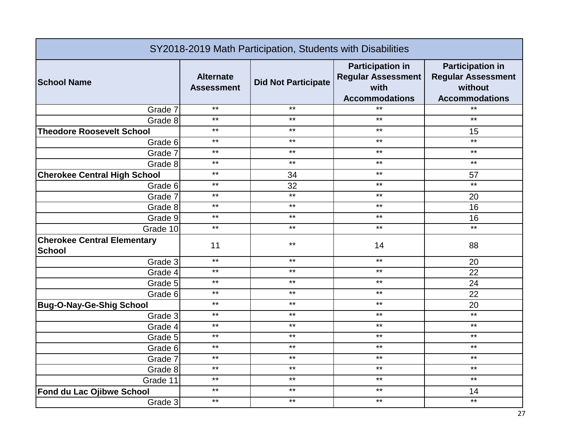| SY2018-2019 Math Participation, Students with Disabilities |                                       |                            |                                                                                       |                                                                                          |
|------------------------------------------------------------|---------------------------------------|----------------------------|---------------------------------------------------------------------------------------|------------------------------------------------------------------------------------------|
| <b>School Name</b>                                         | <b>Alternate</b><br><b>Assessment</b> | <b>Did Not Participate</b> | <b>Participation in</b><br><b>Regular Assessment</b><br>with<br><b>Accommodations</b> | <b>Participation in</b><br><b>Regular Assessment</b><br>without<br><b>Accommodations</b> |
| Grade 7                                                    | $***$                                 | $***$                      | $*$                                                                                   | $*$                                                                                      |
| Grade 8                                                    | $***$                                 | $***$                      | $***$                                                                                 | $***$                                                                                    |
| <b>Theodore Roosevelt School</b>                           | $***$                                 | $***$                      | $***$                                                                                 | 15                                                                                       |
| Grade 6                                                    | $***$                                 | $***$                      | $***$                                                                                 | $***$                                                                                    |
| Grade 7                                                    | $***$                                 | $***$                      | $***$                                                                                 | $***$                                                                                    |
| Grade 8                                                    | $***$                                 | $***$                      | $***$                                                                                 | $***$                                                                                    |
| <b>Cherokee Central High School</b>                        | $***$                                 | 34                         | $***$                                                                                 | 57                                                                                       |
| Grade 6                                                    | $***$                                 | 32                         | $***$                                                                                 | $***$                                                                                    |
| Grade 7                                                    | $***$                                 | $***$                      | $***$                                                                                 | 20                                                                                       |
| Grade 8                                                    | $***$                                 | $***$                      | $***$                                                                                 | 16                                                                                       |
| Grade 9                                                    | $***$                                 | $***$                      | $***$                                                                                 | 16                                                                                       |
| Grade 10                                                   | $***$                                 | $***$                      | $***$                                                                                 | $***$                                                                                    |
| <b>Cherokee Central Elementary</b><br><b>School</b>        | 11                                    | $***$                      | 14                                                                                    | 88                                                                                       |
| Grade 3                                                    | $***$                                 | $***$                      | $***$                                                                                 | 20                                                                                       |
| Grade 4                                                    | $***$                                 | $***$                      | $***$                                                                                 | 22                                                                                       |
| Grade 5                                                    | $***$                                 | $***$                      | $***$                                                                                 | 24                                                                                       |
| Grade 6                                                    | $***$                                 | $***$                      | $***$                                                                                 | 22                                                                                       |
| <b>Bug-O-Nay-Ge-Shig School</b>                            | $***$                                 | $***$                      | $***$                                                                                 | 20                                                                                       |
| Grade 3                                                    | $***$                                 | $***$                      | $***$                                                                                 | $***$                                                                                    |
| Grade 4                                                    | $***$                                 | $***$                      | $***$                                                                                 | $***$                                                                                    |
| Grade 5                                                    | $***$                                 | $***$                      | $***$                                                                                 | $***$                                                                                    |
| Grade 6                                                    | $***$                                 | $***$                      | $***$                                                                                 | $***$                                                                                    |
| Grade 7                                                    | $***$                                 | $***$                      | $***$                                                                                 | $***$                                                                                    |
| Grade 8                                                    | $***$                                 | $***$                      | $***$                                                                                 | $***$                                                                                    |
| Grade 11                                                   | $***$                                 | $***$                      | $***$                                                                                 | $***$                                                                                    |
| Fond du Lac Ojibwe School                                  | $***$                                 | $***$                      | $***$                                                                                 | 14                                                                                       |
| Grade 3                                                    | $***$                                 | $***$                      | $***$                                                                                 | $***$                                                                                    |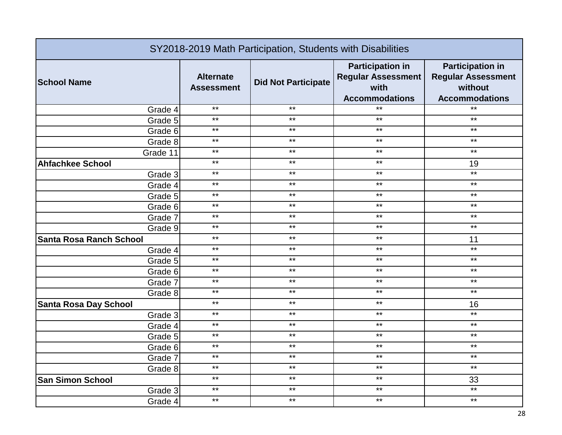| SY2018-2019 Math Participation, Students with Disabilities |                                       |                            |                                                                                       |                                                                                          |
|------------------------------------------------------------|---------------------------------------|----------------------------|---------------------------------------------------------------------------------------|------------------------------------------------------------------------------------------|
| <b>School Name</b>                                         | <b>Alternate</b><br><b>Assessment</b> | <b>Did Not Participate</b> | <b>Participation in</b><br><b>Regular Assessment</b><br>with<br><b>Accommodations</b> | <b>Participation in</b><br><b>Regular Assessment</b><br>without<br><b>Accommodations</b> |
| Grade 4                                                    | $***$                                 | $***$                      | $***$                                                                                 | $***$                                                                                    |
| Grade 5                                                    | $***$                                 | $***$                      | $***$                                                                                 | $***$                                                                                    |
| Grade 6                                                    | $***$                                 | $***$                      | $***$                                                                                 | $***$                                                                                    |
| Grade 8                                                    | $***$                                 | $***$                      | $***$                                                                                 | $***$                                                                                    |
| Grade 11                                                   | $***$                                 | $***$                      | $***$                                                                                 | $***$                                                                                    |
| <b>Ahfachkee School</b>                                    | $***$                                 | $***$                      | $***$                                                                                 | 19                                                                                       |
| Grade 3                                                    | $***$                                 | $***$                      | $***$                                                                                 | $***$                                                                                    |
| Grade 4                                                    | $***$                                 | $***$                      | $***$                                                                                 | $***$                                                                                    |
| Grade 5                                                    | $***$                                 | $***$                      | $***$                                                                                 | $***$                                                                                    |
| Grade 6                                                    | $***$                                 | $***$                      | $***$                                                                                 | $***$                                                                                    |
| Grade 7                                                    | $***$                                 | $***$                      | $***$                                                                                 | $***$                                                                                    |
| Grade 9                                                    | $***$                                 | $***$                      | $***$                                                                                 | $\star\star$                                                                             |
| <b>Santa Rosa Ranch School</b>                             | $***$                                 | $***$                      | $***$                                                                                 | 11                                                                                       |
| Grade 4                                                    | $***$                                 | $***$                      | $***$                                                                                 | $***$                                                                                    |
| Grade 5                                                    | $***$                                 | $***$                      | $***$                                                                                 | $***$                                                                                    |
| Grade 6                                                    | $***$                                 | $***$                      | $***$                                                                                 | $***$                                                                                    |
| Grade 7                                                    | $***$                                 | $***$                      | $***$                                                                                 | $***$                                                                                    |
| Grade 8                                                    | $***$                                 | $***$                      | $***$                                                                                 | $***$                                                                                    |
| <b>Santa Rosa Day School</b>                               | $***$                                 | $***$                      | $***$                                                                                 | 16                                                                                       |
| Grade 3                                                    | $***$                                 | $***$                      | $***$                                                                                 | $\star\star$                                                                             |
| Grade 4                                                    | $***$                                 | $***$                      | $***$                                                                                 | $***$                                                                                    |
| Grade 5                                                    | $***$                                 | $***$                      | $***$                                                                                 | $***$                                                                                    |
| Grade 6                                                    | $***$                                 | $***$                      | $***$                                                                                 | $***$                                                                                    |
| Grade 7                                                    | $***$                                 | $***$                      | $***$                                                                                 | $***$                                                                                    |
| Grade 8                                                    | $***$                                 | $***$                      | $***$                                                                                 | $***$                                                                                    |
| <b>San Simon School</b>                                    | $***$                                 | $***$                      | $***$                                                                                 | 33                                                                                       |
| Grade 3                                                    | $***$                                 | $***$                      | $***$                                                                                 | $***$                                                                                    |
| Grade 4                                                    | $***$                                 | $***$                      | $***$                                                                                 | $***$                                                                                    |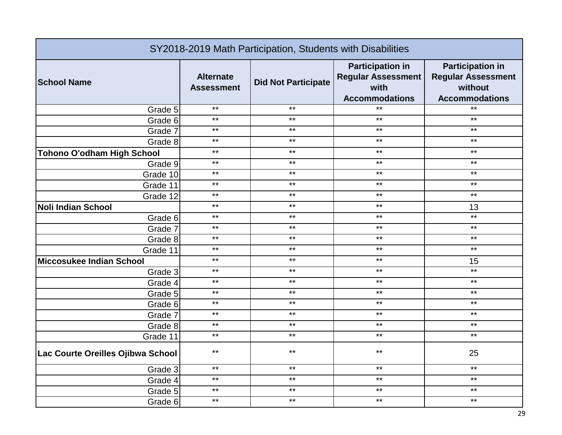| SY2018-2019 Math Participation, Students with Disabilities |                                       |                            |                                                                                       |                                                                                          |
|------------------------------------------------------------|---------------------------------------|----------------------------|---------------------------------------------------------------------------------------|------------------------------------------------------------------------------------------|
| <b>School Name</b>                                         | <b>Alternate</b><br><b>Assessment</b> | <b>Did Not Participate</b> | <b>Participation in</b><br><b>Regular Assessment</b><br>with<br><b>Accommodations</b> | <b>Participation in</b><br><b>Regular Assessment</b><br>without<br><b>Accommodations</b> |
| Grade 5                                                    | $***$                                 | $***$                      | $***$                                                                                 | $*$                                                                                      |
| Grade 6                                                    | $***$                                 | $***$                      | $***$                                                                                 | $***$                                                                                    |
| Grade 7                                                    | $***$                                 | $***$                      | $***$                                                                                 | $***$                                                                                    |
| Grade 8                                                    | $***$                                 | $***$                      | $***$                                                                                 | $***$                                                                                    |
| <b>Tohono O'odham High School</b>                          | $***$                                 | $***$                      | $***$                                                                                 | $***$                                                                                    |
| Grade 9                                                    | $***$                                 | $***$                      | $***$                                                                                 | $***$                                                                                    |
| Grade 10                                                   | $***$                                 | $***$                      | $***$                                                                                 | $***$                                                                                    |
| Grade 11                                                   | $***$                                 | $***$                      | $***$                                                                                 | $***$                                                                                    |
| Grade 12                                                   | $***$                                 | $***$                      | $***$                                                                                 | $***$                                                                                    |
| <b>Noli Indian School</b>                                  | $***$                                 | $***$                      | $***$                                                                                 | 13                                                                                       |
| Grade 6                                                    | $***$                                 | $***$                      | $***$                                                                                 | $*$                                                                                      |
| Grade 7                                                    | $***$                                 | $***$                      | $***$                                                                                 | $***$                                                                                    |
| Grade 8                                                    | $***$                                 | $***$                      | $***$                                                                                 | $***$                                                                                    |
| Grade 11                                                   | $***$                                 | $***$                      | $***$                                                                                 | $***$                                                                                    |
| <b>Miccosukee Indian School</b>                            | $***$                                 | $***$                      | $***$                                                                                 | 15                                                                                       |
| Grade 3                                                    | $***$                                 | $***$                      | $***$                                                                                 | $***$                                                                                    |
| Grade 4                                                    | $***$                                 | $***$                      | $***$                                                                                 | $***$                                                                                    |
| Grade 5                                                    | $***$                                 | $***$                      | $***$                                                                                 | $***$                                                                                    |
| Grade 6                                                    | $***$                                 | $***$                      | $***$                                                                                 | $***$                                                                                    |
| Grade 7                                                    | $***$                                 | $***$                      | $***$                                                                                 | $***$                                                                                    |
| Grade 8                                                    | $***$                                 | $***$                      | $***$                                                                                 | $***$                                                                                    |
| Grade 11                                                   | $***$                                 | $***$                      | $***$                                                                                 | $***$                                                                                    |
| Lac Courte Oreilles Ojibwa School                          | $***$                                 | $***$                      | $***$                                                                                 | 25                                                                                       |
| Grade 3                                                    | $***$                                 | $***$                      | $***$                                                                                 | $***$                                                                                    |
| Grade 4                                                    | $***$                                 | $***$                      | $***$                                                                                 | $***$                                                                                    |
| Grade 5                                                    | $***$                                 | $***$                      | $***$                                                                                 | $***$                                                                                    |
| Grade 6                                                    | $***$                                 | $***$                      | $***$                                                                                 | $***$                                                                                    |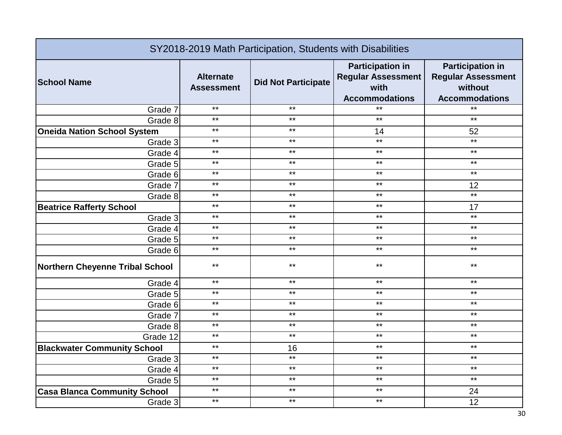| SY2018-2019 Math Participation, Students with Disabilities |                                       |                            |                                                                                       |                                                                                          |
|------------------------------------------------------------|---------------------------------------|----------------------------|---------------------------------------------------------------------------------------|------------------------------------------------------------------------------------------|
| <b>School Name</b>                                         | <b>Alternate</b><br><b>Assessment</b> | <b>Did Not Participate</b> | <b>Participation in</b><br><b>Regular Assessment</b><br>with<br><b>Accommodations</b> | <b>Participation in</b><br><b>Regular Assessment</b><br>without<br><b>Accommodations</b> |
| Grade 7                                                    | $***$                                 | $***$                      | $***$                                                                                 | $*$                                                                                      |
| Grade 8                                                    | $***$                                 | $***$                      | $***$                                                                                 | $***$                                                                                    |
| <b>Oneida Nation School System</b>                         | $***$                                 | $***$                      | 14                                                                                    | 52                                                                                       |
| Grade 3                                                    | $***$                                 | $***$                      | $***$                                                                                 | $***$                                                                                    |
| Grade 4                                                    | $***$                                 | $***$                      | $***$                                                                                 | $***$                                                                                    |
| Grade 5                                                    | $***$                                 | $***$                      | $***$                                                                                 | $***$                                                                                    |
| Grade 6                                                    | $***$                                 | $***$                      | $***$                                                                                 | $***$                                                                                    |
| Grade 7                                                    | $***$                                 | $***$                      | $***$                                                                                 | 12                                                                                       |
| Grade 8                                                    | $***$                                 | $***$                      | $***$                                                                                 | $***$                                                                                    |
| <b>Beatrice Rafferty School</b>                            | $***$                                 | $***$                      | $***$                                                                                 | 17                                                                                       |
| Grade 3                                                    | $***$                                 | $***$                      | $***$                                                                                 | $***$                                                                                    |
| Grade 4                                                    | $***$                                 | $***$                      | $***$                                                                                 | $***$                                                                                    |
| Grade 5                                                    | $***$                                 | $***$                      | $***$                                                                                 | $***$                                                                                    |
| Grade 6                                                    | $***$                                 | $***$                      | $***$                                                                                 | $***$                                                                                    |
| <b>Northern Cheyenne Tribal School</b>                     | $***$                                 | $***$                      | $***$                                                                                 | $***$                                                                                    |
| Grade 4                                                    | $***$                                 | $***$                      | $***$                                                                                 | $***$                                                                                    |
| Grade 5                                                    | $***$                                 | $***$                      | $***$                                                                                 | $***$                                                                                    |
| Grade 6                                                    | $***$                                 | $***$                      | $***$                                                                                 | $***$                                                                                    |
| Grade 7                                                    | $***$                                 | $***$                      | $***$                                                                                 | $***$                                                                                    |
| Grade 8                                                    | $***$                                 | $***$                      | $***$                                                                                 | $***$                                                                                    |
| Grade 12                                                   | $***$                                 | $***$                      | $***$                                                                                 | $***$                                                                                    |
| <b>Blackwater Community School</b>                         | $***$                                 | 16                         | $***$                                                                                 | $***$                                                                                    |
| Grade 3                                                    | $***$                                 | $***$                      | $***$                                                                                 | $***$                                                                                    |
| Grade 4                                                    | $***$                                 | $***$                      | $***$                                                                                 | $***$                                                                                    |
| Grade 5                                                    | $***$                                 | $***$                      | $***$                                                                                 | $***$                                                                                    |
| <b>Casa Blanca Community School</b>                        | $***$                                 | $***$                      | $***$                                                                                 | 24                                                                                       |
| Grade 3                                                    | $***$                                 | $***$                      | $***$                                                                                 | 12                                                                                       |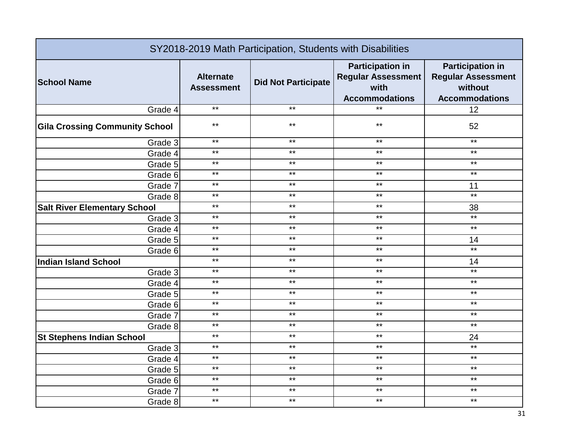| SY2018-2019 Math Participation, Students with Disabilities |                                       |                            |                                                                                       |                                                                                          |
|------------------------------------------------------------|---------------------------------------|----------------------------|---------------------------------------------------------------------------------------|------------------------------------------------------------------------------------------|
| <b>School Name</b>                                         | <b>Alternate</b><br><b>Assessment</b> | <b>Did Not Participate</b> | <b>Participation in</b><br><b>Regular Assessment</b><br>with<br><b>Accommodations</b> | <b>Participation in</b><br><b>Regular Assessment</b><br>without<br><b>Accommodations</b> |
| Grade 4                                                    | $***$                                 | $***$                      | $***$                                                                                 | 12                                                                                       |
| <b>Gila Crossing Community School</b>                      | $***$                                 | $***$                      | $***$                                                                                 | 52                                                                                       |
| Grade 3                                                    | $***$                                 | $***$                      | $***$                                                                                 | $***$                                                                                    |
| Grade 4                                                    | $***$                                 | $***$                      | $***$                                                                                 | $***$                                                                                    |
| Grade 5                                                    | $***$                                 | $***$                      | $***$                                                                                 | $***$                                                                                    |
| Grade 6                                                    | $***$                                 | $***$                      | $***$                                                                                 | $***$                                                                                    |
| Grade 7                                                    | $***$                                 | $***$                      | $***$                                                                                 | 11                                                                                       |
| Grade 8                                                    | $***$                                 | $***$                      | $***$                                                                                 | $***$                                                                                    |
| <b>Salt River Elementary School</b>                        | $***$                                 | $***$                      | $***$                                                                                 | 38                                                                                       |
| Grade 3                                                    | $***$                                 | $***$                      | $***$                                                                                 | $*$                                                                                      |
| Grade 4                                                    | $***$                                 | $***$                      | $***$                                                                                 | $***$                                                                                    |
| Grade 5                                                    | $***$                                 | $***$                      | $***$                                                                                 | 14                                                                                       |
| Grade 6                                                    | $***$                                 | $***$                      | $***$                                                                                 | $***$                                                                                    |
| <b>Indian Island School</b>                                | $***$                                 | $***$                      | $***$                                                                                 | 14                                                                                       |
| Grade 3                                                    | $***$                                 | $***$                      | $***$                                                                                 | $***$                                                                                    |
| Grade 4                                                    | $***$                                 | $***$                      | $***$                                                                                 | $\star\star$                                                                             |
| Grade 5                                                    | $***$                                 | $***$                      | $***$                                                                                 | $***$                                                                                    |
| Grade 6                                                    | $***$                                 | $***$                      | $***$                                                                                 | $***$                                                                                    |
| Grade 7                                                    | $***$                                 | $***$                      | $***$                                                                                 | $***$                                                                                    |
| Grade 8                                                    | $***$                                 | $***$                      | $***$                                                                                 | $***$                                                                                    |
| <b>St Stephens Indian School</b>                           | $***$                                 | $***$                      | $***$                                                                                 | 24                                                                                       |
| Grade 3                                                    | $***$                                 | $***$                      | $***$                                                                                 | $***$                                                                                    |
| Grade 4                                                    | $***$                                 | $***$                      | $***$                                                                                 | $***$                                                                                    |
| Grade 5                                                    | $***$                                 | $***$                      | $\star\star$                                                                          | $***$                                                                                    |
| Grade 6                                                    | $***$                                 | $***$                      | $***$                                                                                 | $***$                                                                                    |
| Grade 7                                                    | $***$                                 | $***$                      | $***$                                                                                 | $***$                                                                                    |
| Grade 8                                                    | $***$                                 | $***$                      | $***$                                                                                 | $***$                                                                                    |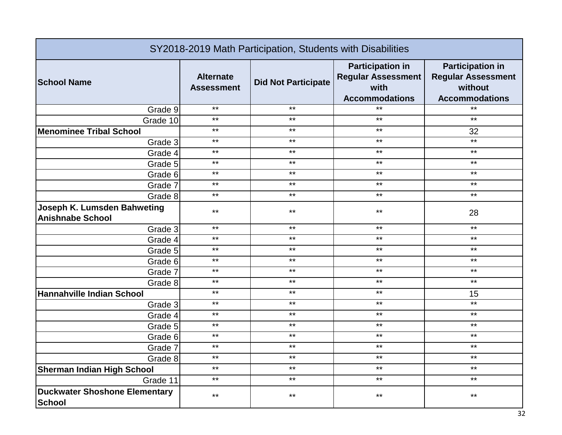| SY2018-2019 Math Participation, Students with Disabilities |                                       |                            |                                                                                       |                                                                                          |
|------------------------------------------------------------|---------------------------------------|----------------------------|---------------------------------------------------------------------------------------|------------------------------------------------------------------------------------------|
| <b>School Name</b>                                         | <b>Alternate</b><br><b>Assessment</b> | <b>Did Not Participate</b> | <b>Participation in</b><br><b>Regular Assessment</b><br>with<br><b>Accommodations</b> | <b>Participation in</b><br><b>Regular Assessment</b><br>without<br><b>Accommodations</b> |
| Grade 9                                                    | $***$                                 | $***$                      | $***$                                                                                 | $*$                                                                                      |
| Grade 10                                                   | $***$                                 | $***$                      | $***$                                                                                 | $***$                                                                                    |
| <b>Menominee Tribal School</b>                             | $***$                                 | $***$                      | $***$                                                                                 | 32                                                                                       |
| Grade 3                                                    | $***$                                 | $***$                      | $***$                                                                                 | $***$                                                                                    |
| Grade 4                                                    | $***$                                 | $***$                      | $***$                                                                                 | $***$                                                                                    |
| Grade 5                                                    | $***$                                 | $***$                      | $***$                                                                                 | $***$                                                                                    |
| Grade 6                                                    | $***$                                 | $***$                      | $***$                                                                                 | $***$                                                                                    |
| Grade 7                                                    | $***$                                 | $***$                      | $***$                                                                                 | $***$                                                                                    |
| Grade 8                                                    | $***$                                 | $***$                      | $***$                                                                                 | $***$                                                                                    |
| Joseph K. Lumsden Bahweting<br><b>Anishnabe School</b>     | $***$                                 | $***$                      | $***$                                                                                 | 28                                                                                       |
| Grade 3                                                    | $***$                                 | $***$                      | $***$                                                                                 | $***$                                                                                    |
| Grade 4                                                    | $***$                                 | $***$                      | $***$                                                                                 | $***$                                                                                    |
| Grade 5                                                    | $***$                                 | $***$                      | $***$                                                                                 | $***$                                                                                    |
| Grade 6                                                    | $***$                                 | $***$                      | $***$                                                                                 | $***$                                                                                    |
| Grade 7                                                    | $***$                                 | $***$                      | $***$                                                                                 | $***$                                                                                    |
| Grade 8                                                    | $***$                                 | $***$                      | $***$                                                                                 | $***$                                                                                    |
| <b>Hannahville Indian School</b>                           | $***$                                 | $***$                      | $***$                                                                                 | 15                                                                                       |
| Grade 3                                                    | $***$                                 | $***$                      | $***$                                                                                 | $***$                                                                                    |
| Grade 4                                                    | $***$                                 | $***$                      | $***$                                                                                 | $***$                                                                                    |
| Grade 5                                                    | $***$                                 | $***$                      | $***$                                                                                 | $***$                                                                                    |
| Grade 6                                                    | $***$                                 | $***$                      | $***$                                                                                 | $***$                                                                                    |
| Grade 7                                                    | $***$                                 | $***$                      | $***$                                                                                 | $***$                                                                                    |
| Grade 8                                                    | $***$                                 | $***$                      | $***$                                                                                 | $***$                                                                                    |
| <b>Sherman Indian High School</b>                          | $***$                                 | $***$                      | $***$                                                                                 | $***$                                                                                    |
| Grade 11                                                   | $***$                                 | $***$                      | $***$                                                                                 | $***$                                                                                    |
| <b>Duckwater Shoshone Elementary</b><br><b>School</b>      | $***$                                 | $***$                      | $***$                                                                                 | $***$                                                                                    |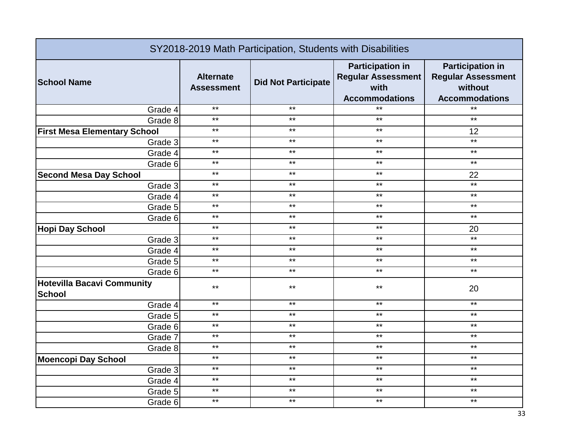| SY2018-2019 Math Participation, Students with Disabilities |                                       |                            |                                                                                       |                                                                                          |
|------------------------------------------------------------|---------------------------------------|----------------------------|---------------------------------------------------------------------------------------|------------------------------------------------------------------------------------------|
| <b>School Name</b>                                         | <b>Alternate</b><br><b>Assessment</b> | <b>Did Not Participate</b> | <b>Participation in</b><br><b>Regular Assessment</b><br>with<br><b>Accommodations</b> | <b>Participation in</b><br><b>Regular Assessment</b><br>without<br><b>Accommodations</b> |
| Grade 4                                                    | $***$                                 | $***$                      | $***$                                                                                 | $***$                                                                                    |
| Grade 8                                                    | $***$                                 | $***$                      | $***$                                                                                 | $***$                                                                                    |
| <b>First Mesa Elementary School</b>                        | $***$                                 | $***$                      | $***$                                                                                 | 12                                                                                       |
| Grade 3                                                    | $***$                                 | $***$                      | $***$                                                                                 | $***$                                                                                    |
| Grade 4                                                    | $***$                                 | $***$                      | $***$                                                                                 | $***$                                                                                    |
| Grade 6                                                    | $***$                                 | $***$                      | $***$                                                                                 | $***$                                                                                    |
| <b>Second Mesa Day School</b>                              | $***$                                 | $***$                      | $***$                                                                                 | 22                                                                                       |
| Grade 3                                                    | $***$                                 | $***$                      | $***$                                                                                 | $***$                                                                                    |
| Grade 4                                                    | $***$                                 | $***$                      | $***$                                                                                 | $***$                                                                                    |
| Grade 5                                                    | $***$                                 | $***$                      | $***$                                                                                 | $***$                                                                                    |
| Grade 6                                                    | $***$                                 | $***$                      | $***$                                                                                 | $***$                                                                                    |
| <b>Hopi Day School</b>                                     | $***$                                 | $***$                      | $***$                                                                                 | 20                                                                                       |
| Grade 3                                                    | $***$                                 | $***$                      | $***$                                                                                 | $***$                                                                                    |
| Grade 4                                                    | $***$                                 | $***$                      | $***$                                                                                 | $***$                                                                                    |
| Grade 5                                                    | $***$                                 | $***$                      | $***$                                                                                 | $***$                                                                                    |
| Grade 6                                                    | $***$                                 | $***$                      | $***$                                                                                 | $***$                                                                                    |
| <b>Hotevilla Bacavi Community</b><br><b>School</b>         | $***$                                 | $***$                      | $***$                                                                                 | 20                                                                                       |
| Grade 4                                                    | $***$                                 | $***$                      | $***$                                                                                 | $***$                                                                                    |
| Grade 5                                                    | $***$                                 | $***$                      | $***$                                                                                 | $***$                                                                                    |
| Grade 6                                                    | $***$                                 | $***$                      | $***$                                                                                 | $***$                                                                                    |
| Grade 7                                                    | $***$                                 | $***$                      | $***$                                                                                 | $***$                                                                                    |
| Grade 8                                                    | $***$                                 | $***$                      | $***$                                                                                 | $***$                                                                                    |
| <b>Moencopi Day School</b>                                 | $***$                                 | $***$                      | $***$                                                                                 | $***$                                                                                    |
| Grade 3                                                    | $***$                                 | $***$                      | $***$                                                                                 | $***$                                                                                    |
| Grade 4                                                    | $***$                                 | $***$                      | $***$                                                                                 | $***$                                                                                    |
| Grade 5                                                    | $***$                                 | $***$                      | $***$                                                                                 | $***$                                                                                    |
| Grade 6                                                    | $***$                                 | $***$                      | $***$                                                                                 | $***$                                                                                    |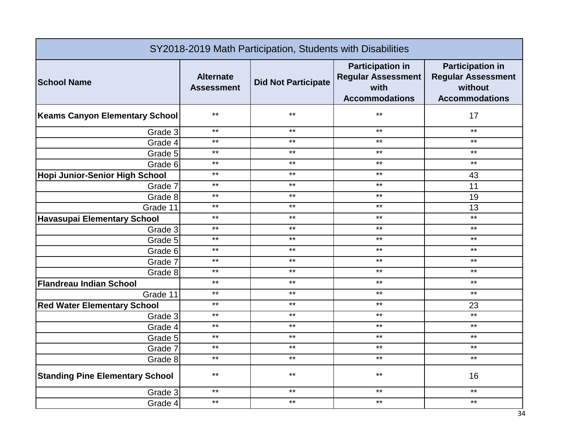| SY2018-2019 Math Participation, Students with Disabilities |                                       |                            |                                                                                       |                                                                                          |
|------------------------------------------------------------|---------------------------------------|----------------------------|---------------------------------------------------------------------------------------|------------------------------------------------------------------------------------------|
| <b>School Name</b>                                         | <b>Alternate</b><br><b>Assessment</b> | <b>Did Not Participate</b> | <b>Participation in</b><br><b>Regular Assessment</b><br>with<br><b>Accommodations</b> | <b>Participation in</b><br><b>Regular Assessment</b><br>without<br><b>Accommodations</b> |
| <b>Keams Canyon Elementary School</b>                      | $***$                                 | $***$                      | $***$                                                                                 | 17                                                                                       |
| Grade 3                                                    | $***$                                 | $***$                      | $***$                                                                                 | $***$                                                                                    |
| Grade 4                                                    | $***$                                 | $***$                      | $***$                                                                                 | $***$                                                                                    |
| Grade 5                                                    | $***$                                 | $***$                      | $***$                                                                                 | $***$                                                                                    |
| Grade 6                                                    | $***$                                 | $***$                      | $***$                                                                                 | $***$                                                                                    |
| Hopi Junior-Senior High School                             | $***$                                 | $***$                      | $***$                                                                                 | 43                                                                                       |
| Grade 7                                                    | $***$                                 | $***$                      | $***$                                                                                 | 11                                                                                       |
| Grade 8                                                    | $***$                                 | $***$                      | $***$                                                                                 | 19                                                                                       |
| Grade 11                                                   | $***$                                 | $***$                      | $***$                                                                                 | 13                                                                                       |
| <b>Havasupai Elementary School</b>                         | $***$                                 | $***$                      | $***$                                                                                 | $***$                                                                                    |
| Grade 3                                                    | $***$                                 | $***$                      | $***$                                                                                 | $***$                                                                                    |
| Grade 5                                                    | $***$                                 | $***$                      | $***$                                                                                 | $***$                                                                                    |
| Grade 6                                                    | $***$                                 | $***$                      | $***$                                                                                 | $***$                                                                                    |
| Grade 7                                                    | $***$                                 | $***$                      | $***$                                                                                 | $***$                                                                                    |
| Grade 8                                                    | $***$                                 | $***$                      | $***$                                                                                 | $***$                                                                                    |
| <b>Flandreau Indian School</b>                             | $***$                                 | $***$                      | $***$                                                                                 | $***$                                                                                    |
| Grade 11                                                   | $***$                                 | $***$                      | $***$                                                                                 | $***$                                                                                    |
| <b>Red Water Elementary School</b>                         | $***$                                 | $***$                      | $***$                                                                                 | 23                                                                                       |
| Grade 3                                                    | $***$                                 | $***$                      | $***$                                                                                 | $***$                                                                                    |
| Grade 4                                                    | $***$                                 | $***$                      | $***$                                                                                 | $***$                                                                                    |
| Grade 5                                                    | $***$                                 | $***$                      | $***$                                                                                 | $***$                                                                                    |
| Grade 7                                                    | $***$                                 | $***$                      | $***$                                                                                 | $***$                                                                                    |
| Grade 8                                                    | $***$                                 | $***$                      | $***$                                                                                 | $***$                                                                                    |
| <b>Standing Pine Elementary School</b>                     | $***$                                 | $***$                      | $***$                                                                                 | 16                                                                                       |
| Grade 3                                                    | $***$                                 | $***$                      | $***$                                                                                 | $***$                                                                                    |
| Grade 4                                                    | $***$                                 | $***$                      | $***$                                                                                 | $***$                                                                                    |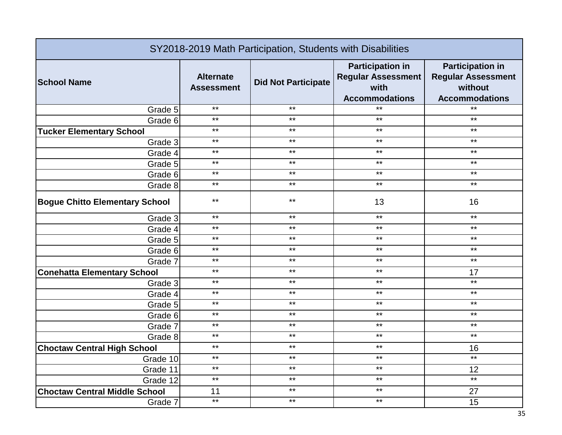| SY2018-2019 Math Participation, Students with Disabilities |                                       |                            |                                                                                       |                                                                                          |
|------------------------------------------------------------|---------------------------------------|----------------------------|---------------------------------------------------------------------------------------|------------------------------------------------------------------------------------------|
| <b>School Name</b>                                         | <b>Alternate</b><br><b>Assessment</b> | <b>Did Not Participate</b> | <b>Participation in</b><br><b>Regular Assessment</b><br>with<br><b>Accommodations</b> | <b>Participation in</b><br><b>Regular Assessment</b><br>without<br><b>Accommodations</b> |
| Grade 5                                                    | $***$                                 | $***$                      | $***$                                                                                 | $*$                                                                                      |
| Grade 6                                                    | $***$                                 | $***$                      | $***$                                                                                 | $***$                                                                                    |
| <b>Tucker Elementary School</b>                            | $***$                                 | $***$                      | $***$                                                                                 | $***$                                                                                    |
| Grade 3                                                    | $***$                                 | $***$                      | $***$                                                                                 | $***$                                                                                    |
| Grade 4                                                    | $***$                                 | $***$                      | $***$                                                                                 | $***$                                                                                    |
| Grade 5                                                    | $***$                                 | $***$                      | $***$                                                                                 | $***$                                                                                    |
| Grade 6                                                    | $***$                                 | $***$                      | $***$                                                                                 | $***$                                                                                    |
| Grade 8                                                    | $***$                                 | $***$                      | $***$                                                                                 | $***$                                                                                    |
| <b>Bogue Chitto Elementary School</b>                      | $***$                                 | $***$                      | 13                                                                                    | 16                                                                                       |
| Grade 3                                                    | $***$                                 | $***$                      | $***$                                                                                 | $***$                                                                                    |
| Grade 4                                                    | $***$                                 | $***$                      | $***$                                                                                 | $***$                                                                                    |
| Grade 5                                                    | $***$                                 | $***$                      | $***$                                                                                 | $***$                                                                                    |
| Grade 6                                                    | $***$                                 | $***$                      | $***$                                                                                 | $***$                                                                                    |
| Grade 7                                                    | $***$                                 | $***$                      | $***$                                                                                 | $***$                                                                                    |
| <b>Conehatta Elementary School</b>                         | $***$                                 | $***$                      | $***$                                                                                 | 17                                                                                       |
| Grade 3                                                    | $***$                                 | $***$                      | $***$                                                                                 | $***$                                                                                    |
| Grade 4                                                    | $***$                                 | $***$                      | $***$                                                                                 | $***$                                                                                    |
| Grade 5                                                    | $***$                                 | $***$                      | $***$                                                                                 | $***$                                                                                    |
| Grade 6                                                    | $***$                                 | $***$                      | $***$                                                                                 | $***$                                                                                    |
| Grade 7                                                    | $***$                                 | $***$                      | $***$                                                                                 | $***$                                                                                    |
| Grade 8                                                    | $***$                                 | $***$                      | $***$                                                                                 | $***$                                                                                    |
| <b>Choctaw Central High School</b>                         | $***$                                 | $***$                      | $***$                                                                                 | 16                                                                                       |
| Grade 10                                                   | $***$                                 | $***$                      | $***$                                                                                 | $***$                                                                                    |
| Grade 11                                                   | $***$                                 | $***$                      | $***$                                                                                 | 12                                                                                       |
| Grade 12                                                   | $***$                                 | $***$                      | $***$                                                                                 | $***$                                                                                    |
| <b>Choctaw Central Middle School</b>                       | 11                                    | $***$                      | $***$                                                                                 | 27                                                                                       |
| Grade 7                                                    | $***$                                 | $***$                      | $***$                                                                                 | 15                                                                                       |